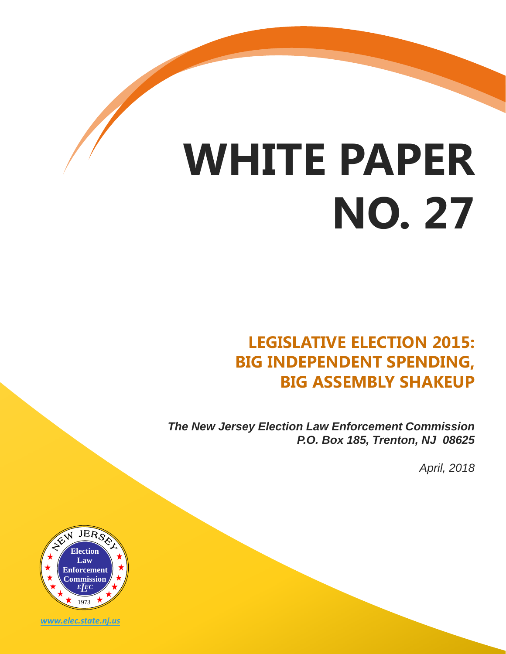# **WHITE PAPER NO. 27**

# **LEGISLATIVE ELECTION 2015: BIG INDEPENDENT SPENDING, BIG ASSEMBLY SHAKEUP**

*The New Jersey Election Law Enforcement Commission P.O. Box 185, Trenton, NJ 08625*

*April, 2018*



*www.elec.state.nj.us*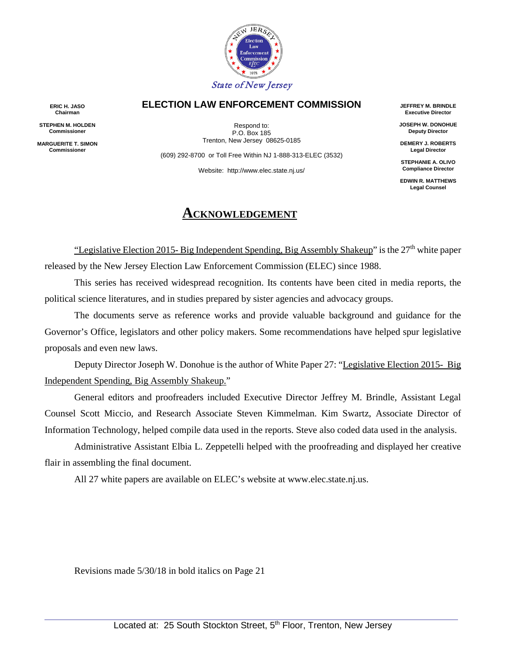

#### **ELECTION LAW ENFORCEMENT COMMISSION**

Respond to: P.O. Box 185 Trenton, New Jersey 08625-0185

(609) 292-8700 or Toll Free Within NJ 1-888-313-ELEC (3532)

Website: http://www.elec.state.nj.us/

#### **ACKNOWLEDGEMENT**

**JEFFREY M. BRINDLE Executive Director**

**JOSEPH W. DONOHUE Deputy Director**

**DEMERY J. ROBERTS Legal Director**

**STEPHANIE A. OLIVO Compliance Director**

**EDWIN R. MATTHEWS Legal Counsel**

"Legislative Election 2015- Big Independent Spending, Big Assembly Shakeup" is the  $27<sup>th</sup>$  white paper released by the New Jersey Election Law Enforcement Commission (ELEC) since 1988.

This series has received widespread recognition. Its contents have been cited in media reports, the political science literatures, and in studies prepared by sister agencies and advocacy groups.

The documents serve as reference works and provide valuable background and guidance for the Governor's Office, legislators and other policy makers. Some recommendations have helped spur legislative proposals and even new laws.

Deputy Director Joseph W. Donohue is the author of White Paper 27: "Legislative Election 2015- Big Independent Spending, Big Assembly Shakeup."

General editors and proofreaders included Executive Director Jeffrey M. Brindle, Assistant Legal Counsel Scott Miccio, and Research Associate Steven Kimmelman. Kim Swartz, Associate Director of Information Technology, helped compile data used in the reports. Steve also coded data used in the analysis.

Administrative Assistant Elbia L. Zeppetelli helped with the proofreading and displayed her creative flair in assembling the final document.

All 27 white papers are available on ELEC's website at www.elec.state.nj.us.

Revisions made 5/30/18 in bold italics on Page 21

**ERIC H. JASO Chairman**

**STEPHEN M. HOLDEN Commissioner**

**MARGUERITE T. SIMON Commissioner**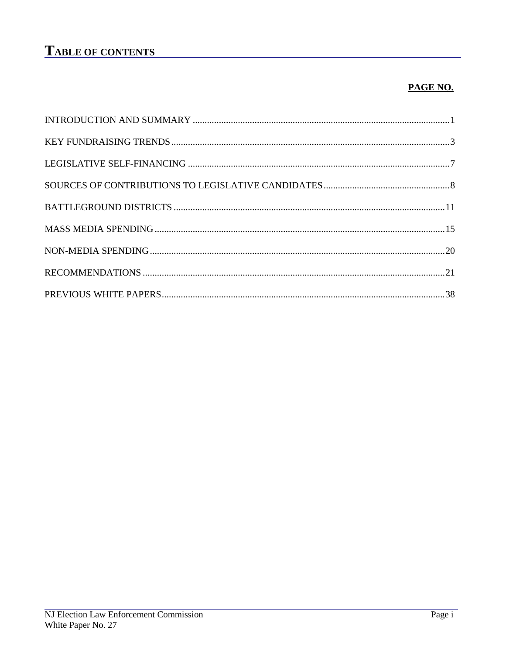# **TABLE OF CONTENTS**

#### PAGE NO.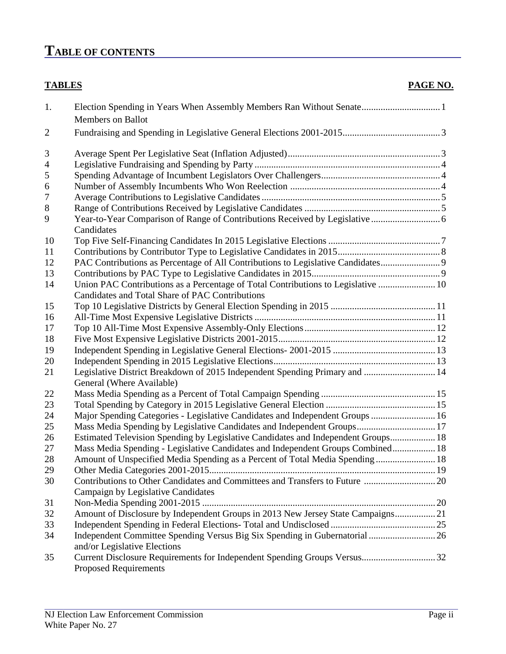# **TABLE OF CONTENTS**

#### **TABLES** PAGE NO.

| 1.             |                                                                                                             |  |
|----------------|-------------------------------------------------------------------------------------------------------------|--|
|                | <b>Members</b> on Ballot                                                                                    |  |
| $\overline{2}$ |                                                                                                             |  |
| 3              |                                                                                                             |  |
| $\overline{4}$ |                                                                                                             |  |
| 5              |                                                                                                             |  |
| 6              |                                                                                                             |  |
| 7              |                                                                                                             |  |
| 8              |                                                                                                             |  |
| 9              | Candidates                                                                                                  |  |
| 10             |                                                                                                             |  |
| 11             |                                                                                                             |  |
| 12             | PAC Contributions as Percentage of All Contributions to Legislative Candidates 9                            |  |
| 13             |                                                                                                             |  |
| 14             | Union PAC Contributions as a Percentage of Total Contributions to Legislative  10                           |  |
|                | Candidates and Total Share of PAC Contributions                                                             |  |
| 15             |                                                                                                             |  |
| 16             |                                                                                                             |  |
| 17             |                                                                                                             |  |
| 18             |                                                                                                             |  |
| 19             |                                                                                                             |  |
| 20             |                                                                                                             |  |
| 21             | Legislative District Breakdown of 2015 Independent Spending Primary and  14                                 |  |
|                | General (Where Available)                                                                                   |  |
| 22             |                                                                                                             |  |
| 23             |                                                                                                             |  |
| 24             | Major Spending Categories - Legislative Candidates and Independent Groups  16                               |  |
| 25             | Mass Media Spending by Legislative Candidates and Independent Groups 17                                     |  |
| 26             | Estimated Television Spending by Legislative Candidates and Independent Groups 18                           |  |
| 27             | Mass Media Spending - Legislative Candidates and Independent Groups Combined 18                             |  |
| 28             | Amount of Unspecified Media Spending as a Percent of Total Media Spending  18                               |  |
| 29             |                                                                                                             |  |
| 30             |                                                                                                             |  |
|                | Campaign by Legislative Candidates                                                                          |  |
| 31             |                                                                                                             |  |
| 32             | Amount of Disclosure by Independent Groups in 2013 New Jersey State Campaigns 21                            |  |
| 33             |                                                                                                             |  |
| 34             | Independent Committee Spending Versus Big Six Spending in Gubernatorial  26<br>and/or Legislative Elections |  |
| 35             |                                                                                                             |  |
|                | <b>Proposed Requirements</b>                                                                                |  |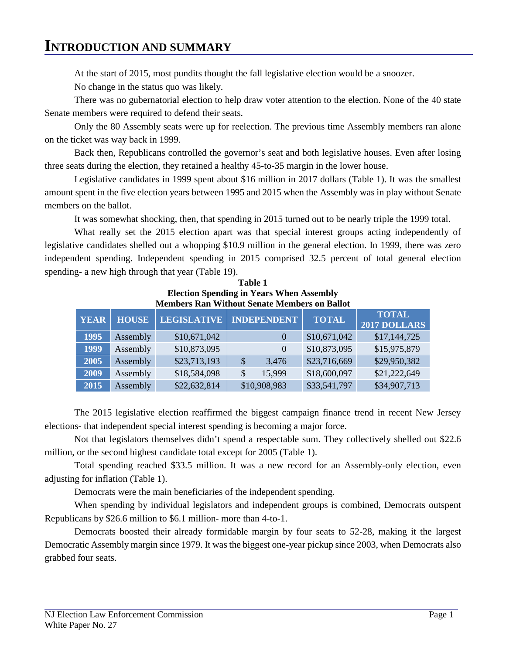#### **INTRODUCTION AND SUMMARY**

At the start of 2015, most pundits thought the fall legislative election would be a snoozer. No change in the status quo was likely.

There was no gubernatorial election to help draw voter attention to the election. None of the 40 state Senate members were required to defend their seats.

Only the 80 Assembly seats were up for reelection. The previous time Assembly members ran alone on the ticket was way back in 1999.

Back then, Republicans controlled the governor's seat and both legislative houses. Even after losing three seats during the election, they retained a healthy 45-to-35 margin in the lower house.

Legislative candidates in 1999 spent about \$16 million in 2017 dollars (Table 1). It was the smallest amount spent in the five election years between 1995 and 2015 when the Assembly was in play without Senate members on the ballot.

It was somewhat shocking, then, that spending in 2015 turned out to be nearly triple the 1999 total.

What really set the 2015 election apart was that special interest groups acting independently of legislative candidates shelled out a whopping \$10.9 million in the general election. In 1999, there was zero independent spending. Independent spending in 2015 comprised 32.5 percent of total general election spending- a new high through that year (Table 19).

| Table 1                                             |
|-----------------------------------------------------|
| <b>Election Spending in Years When Assembly</b>     |
| <b>Members Ran Without Senate Members on Ballot</b> |

| <b>YEAR</b> | <b>HOUSE</b> | <b>LEGISLATIVE</b> | <b>INDEPENDENT</b> | <b>TOTAL</b> | <b>TOTAL</b><br>2017 DOLLARS |
|-------------|--------------|--------------------|--------------------|--------------|------------------------------|
| 1995        | Assembly     | \$10,671,042       | $\theta$           | \$10,671,042 | \$17,144,725                 |
| 1999        | Assembly     | \$10,873,095       | $\theta$           | \$10,873,095 | \$15,975,879                 |
| 2005        | Assembly     | \$23,713,193       | 3,476<br>\$        | \$23,716,669 | \$29,950,382                 |
| 2009        | Assembly     | \$18,584,098       | 15,999<br>\$       | \$18,600,097 | \$21,222,649                 |
| 2015        | Assembly     | \$22,632,814       | \$10,908,983       | \$33,541,797 | \$34,907,713                 |

The 2015 legislative election reaffirmed the biggest campaign finance trend in recent New Jersey elections- that independent special interest spending is becoming a major force.

Not that legislators themselves didn't spend a respectable sum. They collectively shelled out \$22.6 million, or the second highest candidate total except for 2005 (Table 1).

Total spending reached \$33.5 million. It was a new record for an Assembly-only election, even adjusting for inflation (Table 1).

Democrats were the main beneficiaries of the independent spending.

When spending by individual legislators and independent groups is combined, Democrats outspent Republicans by \$26.6 million to \$6.1 million- more than 4-to-1.

Democrats boosted their already formidable margin by four seats to 52-28, making it the largest Democratic Assembly margin since 1979. It was the biggest one-year pickup since 2003, when Democrats also grabbed four seats.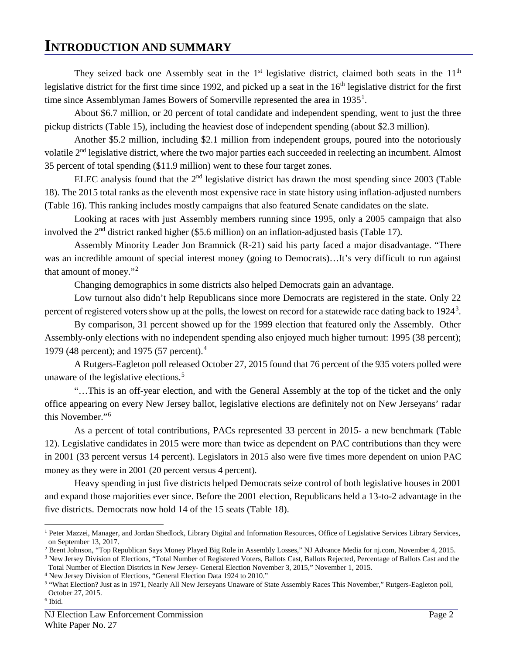#### **INTRODUCTION AND SUMMARY**

They seized back one Assembly seat in the  $1<sup>st</sup>$  legislative district, claimed both seats in the  $11<sup>th</sup>$ legislative district for the first time since 1992, and picked up a seat in the  $16<sup>th</sup>$  legislative district for the first time since Assemblyman James Bowers of Somerville represented the area in  $1935<sup>1</sup>$  $1935<sup>1</sup>$ .

 About \$6.7 million, or 20 percent of total candidate and independent spending, went to just the three pickup districts (Table 15), including the heaviest dose of independent spending (about \$2.3 million).

Another \$5.2 million, including \$2.1 million from independent groups, poured into the notoriously volatile 2<sup>nd</sup> legislative district, where the two major parties each succeeded in reelecting an incumbent. Almost 35 percent of total spending (\$11.9 million) went to these four target zones.

ELEC analysis found that the  $2<sup>nd</sup>$  legislative district has drawn the most spending since 2003 (Table 18). The 2015 total ranks as the eleventh most expensive race in state history using inflation-adjusted numbers (Table 16). This ranking includes mostly campaigns that also featured Senate candidates on the slate.

Looking at races with just Assembly members running since 1995, only a 2005 campaign that also involved the 2nd district ranked higher (\$5.6 million) on an inflation-adjusted basis (Table 17).

Assembly Minority Leader Jon Bramnick (R-21) said his party faced a major disadvantage. "There was an incredible amount of special interest money (going to Democrats)...It's very difficult to run against that amount of money."[2](#page-5-1)

Changing demographics in some districts also helped Democrats gain an advantage.

Low turnout also didn't help Republicans since more Democrats are registered in the state. Only 22 percent of registered voters show up at the polls, the lowest on record for a statewide race dating back to 1924<sup>[3](#page-5-2)</sup>.

By comparison, 31 percent showed up for the 1999 election that featured only the Assembly. Other Assembly-only elections with no independent spending also enjoyed much higher turnout: 1995 (38 percent); 1979 ([4](#page-5-3)8 percent); and 1975 (57 percent).<sup>4</sup>

A Rutgers-Eagleton poll released October 27, 2015 found that 76 percent of the 935 voters polled were unaware of the legislative elections.<sup>[5](#page-5-4)</sup>

"…This is an off-year election, and with the General Assembly at the top of the ticket and the only office appearing on every New Jersey ballot, legislative elections are definitely not on New Jerseyans' radar this November."<sup>[6](#page-5-5)</sup>

As a percent of total contributions, PACs represented 33 percent in 2015- a new benchmark (Table 12). Legislative candidates in 2015 were more than twice as dependent on PAC contributions than they were in 2001 (33 percent versus 14 percent). Legislators in 2015 also were five times more dependent on union PAC money as they were in 2001 (20 percent versus 4 percent).

Heavy spending in just five districts helped Democrats seize control of both legislative houses in 2001 and expand those majorities ever since. Before the 2001 election, Republicans held a 13-to-2 advantage in the five districts. Democrats now hold 14 of the 15 seats (Table 18).

<span id="page-5-0"></span> $\overline{a}$ <sup>1</sup> Peter Mazzei, Manager, and Jordan Shedlock, Library Digital and Information Resources, Office of Legislative Services Library Services, on September 13, 2017.

<span id="page-5-1"></span><sup>&</sup>lt;sup>2</sup> Brent Johnson, "Top Republican Says Money Played Big Role in Assembly Losses," NJ Advance Media for nj.com, November 4, 2015.

<span id="page-5-2"></span><sup>&</sup>lt;sup>3</sup> New Jersey Division of Elections, "Total Number of Registered Voters, Ballots Cast, Ballots Rejected, Percentage of Ballots Cast and the Total Number of Election Districts in New Jersey- General Election November 3, 2015," November 1, 2015.

<span id="page-5-4"></span><span id="page-5-3"></span><sup>&</sup>lt;sup>4</sup> New Jersey Division of Elections, "General Election Data 1924 to 2010." <br><sup>5</sup> "What Election? Just as in 1971, Nearly All New Jerseyans Unaware of State Assembly Races This November," Rutgers-Eagleton poll, October 27, 2015.

<span id="page-5-5"></span> $6$  Ibid.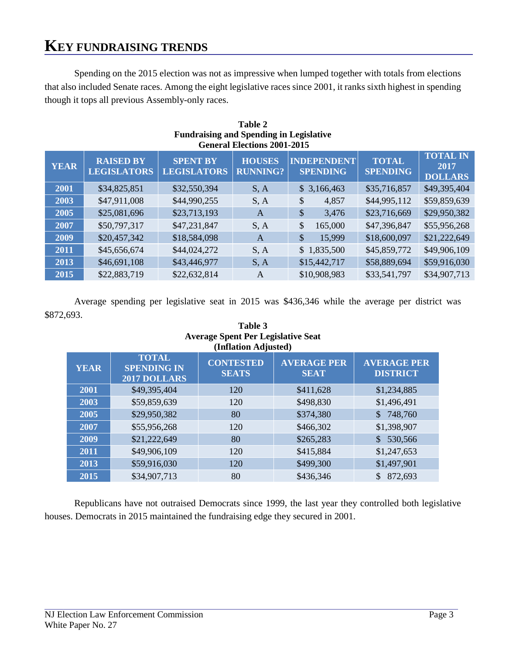Spending on the 2015 election was not as impressive when lumped together with totals from elections that also included Senate races. Among the eight legislative races since 2001, it ranks sixth highest in spending though it tops all previous Assembly-only races.

| <b>General Elections 2001-2015</b> |                                        |                                       |                                  |                                       |                                 |                                           |  |
|------------------------------------|----------------------------------------|---------------------------------------|----------------------------------|---------------------------------------|---------------------------------|-------------------------------------------|--|
| <b>YEAR</b>                        | <b>RAISED BY</b><br><b>LEGISLATORS</b> | <b>SPENT BY</b><br><b>LEGISLATORS</b> | <b>HOUSES</b><br><b>RUNNING?</b> | <b>INDEPENDENT</b><br><b>SPENDING</b> | <b>TOTAL</b><br><b>SPENDING</b> | <b>TOTAL IN</b><br>2017<br><b>DOLLARS</b> |  |
| 2001                               | \$34,825,851                           | \$32,550,394                          | S, A                             | \$3,166,463                           | \$35,716,857                    | \$49,395,404                              |  |
| 2003                               | \$47,911,008                           | \$44,990,255                          | S, A                             | \$<br>4,857                           | \$44,995,112                    | \$59,859,639                              |  |
| 2005                               | \$25,081,696                           | \$23,713,193                          | A                                | \$<br>3,476                           | \$23,716,669                    | \$29,950,382                              |  |
| 2007                               | \$50,797,317                           | \$47,231,847                          | S, A                             | \$<br>165,000                         | \$47,396,847                    | \$55,956,268                              |  |
| 2009                               | \$20,457,342                           | \$18,584,098                          | A                                | 15,999<br>\$                          | \$18,600,097                    | \$21,222,649                              |  |
| 2011                               | \$45,656,674                           | \$44,024,272                          | S, A                             | \$1,835,500                           | \$45,859,772                    | \$49,906,109                              |  |
| 2013                               | \$46,691,108                           | \$43,446,977                          | S, A                             | \$15,442,717                          | \$58,889,694                    | \$59,916,030                              |  |
| 2015                               | \$22,883,719                           | \$22,632,814                          | A                                | \$10,908,983                          | \$33,541,797                    | \$34,907,713                              |  |

#### **Table 2 Fundraising and Spending in Legislative General Elections 2001-2015**

Average spending per legislative seat in 2015 was \$436,346 while the average per district was \$872,693.

**Table 3**

|             | <b>Average Spent Per Legislative Seat</b><br>(Inflation Adjusted) |                                  |                                   |                                       |  |  |  |  |
|-------------|-------------------------------------------------------------------|----------------------------------|-----------------------------------|---------------------------------------|--|--|--|--|
| <b>YEAR</b> | <b>TOTAL</b><br><b>SPENDING IN</b><br>2017 DOLLARS                | <b>CONTESTED</b><br><b>SEATS</b> | <b>AVERAGE PER</b><br><b>SEAT</b> | <b>AVERAGE PER</b><br><b>DISTRICT</b> |  |  |  |  |
| 2001        | \$49,395,404                                                      | 120                              | \$411,628                         | \$1,234,885                           |  |  |  |  |
| 2003        | \$59,859,639                                                      | 120                              | \$498,830                         | \$1,496,491                           |  |  |  |  |
| 2005        | \$29,950,382                                                      | 80                               | \$374,380                         | 748,760<br>\$.                        |  |  |  |  |
| 2007        | \$55,956,268                                                      | 120                              | \$466,302                         | \$1,398,907                           |  |  |  |  |
| 2009        | \$21,222,649                                                      | 80                               | \$265,283                         | 530,566                               |  |  |  |  |
| 2011        | \$49,906,109                                                      | 120                              | \$415,884                         | \$1,247,653                           |  |  |  |  |
| 2013        | \$59,916,030                                                      | 120                              | \$499,300                         | \$1,497,901                           |  |  |  |  |
| 2015        | \$34,907,713                                                      | 80                               | \$436,346                         | 872,693                               |  |  |  |  |

Republicans have not outraised Democrats since 1999, the last year they controlled both legislative houses. Democrats in 2015 maintained the fundraising edge they secured in 2001.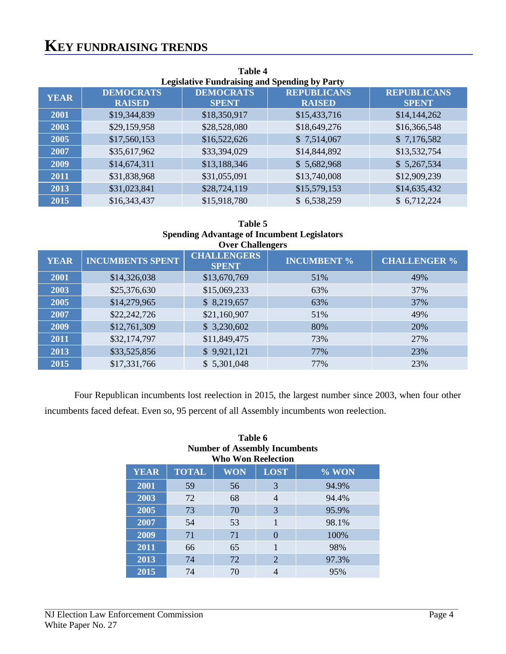| ******<br><b>Legislative Fundraising and Spending by Party</b> |                                   |                                  |                                     |                                    |  |  |  |  |
|----------------------------------------------------------------|-----------------------------------|----------------------------------|-------------------------------------|------------------------------------|--|--|--|--|
| <b>YEAR</b>                                                    | <b>DEMOCRATS</b><br><b>RAISED</b> | <b>DEMOCRATS</b><br><b>SPENT</b> | <b>REPUBLICANS</b><br><b>RAISED</b> | <b>REPUBLICANS</b><br><b>SPENT</b> |  |  |  |  |
| 2001                                                           | \$19,344,839                      | \$18,350,917                     | \$15,433,716                        | \$14,144,262                       |  |  |  |  |
| 2003                                                           | \$29,159,958                      | \$28,528,080                     | \$18,649,276                        | \$16,366,548                       |  |  |  |  |
| 2005                                                           | \$17,560,153                      | \$16,522,626                     | \$7,514,067                         | \$7,176,582                        |  |  |  |  |
| 2007                                                           | \$35,617,962                      | \$33,394,029                     | \$14,844,892                        | \$13,532,754                       |  |  |  |  |
| 2009                                                           | \$14,674,311                      | \$13,188,346                     | \$5,682,968                         | \$5,267,534                        |  |  |  |  |
| 2011                                                           | \$31,838,968                      | \$31,055,091                     | \$13,740,008                        | \$12,909,239                       |  |  |  |  |
| 2013                                                           | \$31,023,841                      | \$28,724,119                     | \$15,579,153                        | \$14,635,432                       |  |  |  |  |
| 2015                                                           | \$16,343,437                      | \$15,918,780                     | \$6,538,259                         | \$6,712,224                        |  |  |  |  |

# **Table 4**

#### **Table 5 Spending Advantage of Incumbent Legislators Over Challengers**

|             |                         | $\sigma$ , $\sigma$ $\sigma$ $\sigma$ $\sigma$ $\sigma$ |                    |                     |
|-------------|-------------------------|---------------------------------------------------------|--------------------|---------------------|
| <b>YEAR</b> | <b>INCUMBENTS SPENT</b> | <b>CHALLENGERS</b><br><b>SPENT</b>                      | <b>INCUMBENT %</b> | <b>CHALLENGER %</b> |
| 2001        | \$14,326,038            | \$13,670,769                                            | 51%                | 49%                 |
| 2003        | \$25,376,630            | \$15,069,233                                            | 63%                | 37%                 |
| 2005        | \$14,279,965            | \$8,219,657                                             | 63%                | 37%                 |
| 2007        | \$22,242,726            | \$21,160,907                                            | 51%                | 49%                 |
| 2009        | \$12,761,309            | \$3,230,602                                             | 80%                | 20%                 |
| 2011        | \$32,174,797            | \$11,849,475                                            | 73%                | 27%                 |
| 2013        | \$33,525,856            | \$9,921,121                                             | 77%                | 23%                 |
| 2015        | \$17,331,766            | \$5,301,048                                             | 77%                | 23%                 |

Four Republican incumbents lost reelection in 2015, the largest number since 2003, when four other incumbents faced defeat. Even so, 95 percent of all Assembly incumbents won reelection.

|             |              | 1 uww v<br><b>Number of Assembly Incumbents</b><br><b>Who Won Reelection</b> |             |         |
|-------------|--------------|------------------------------------------------------------------------------|-------------|---------|
| <b>YEAR</b> | <b>TOTAL</b> | <b>WON</b>                                                                   | <b>LOST</b> | $%$ WON |
| 2001        | 59           | 56                                                                           | 3           | 94.9%   |
| 2003        | 72           | 68                                                                           | 4           | 94.4%   |
| 2005        | 73           | 70                                                                           | 3           | 95.9%   |
| 2007        | 54           | 53                                                                           | 1           | 98.1%   |
| 2009        | 71           | 71                                                                           | $\theta$    | 100%    |
| 2011        | 66           | 65                                                                           | 1           | 98%     |
| 2013        | 74           | 72                                                                           | 2           | 97.3%   |
| 2015        | 74           | 70                                                                           | 4           | 95%     |

# **Table 6**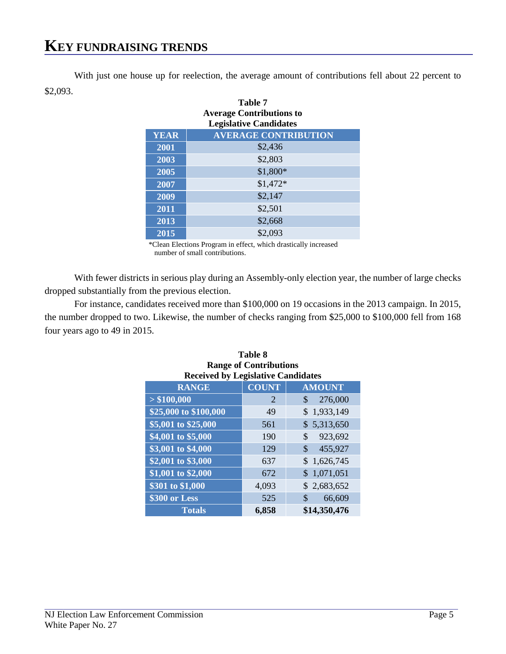With just one house up for reelection, the average amount of contributions fell about 22 percent to \$2,093.

|             | <b>Table 7</b><br><b>Average Contributions to</b><br><b>Legislative Candidates</b> |
|-------------|------------------------------------------------------------------------------------|
| <b>YEAR</b> | <b>AVERAGE CONTRIBUTION</b>                                                        |
| 2001        | \$2,436                                                                            |
| 2003        | \$2,803                                                                            |
| 2005        | \$1,800*                                                                           |
| 2007        | $$1,472*$                                                                          |
| 2009        | \$2,147                                                                            |
| 2011        | \$2,501                                                                            |
| 2013        | \$2,668                                                                            |
| 2015        | \$2,093                                                                            |

\*Clean Elections Program in effect, which drastically increased number of small contributions.

With fewer districts in serious play during an Assembly-only election year, the number of large checks dropped substantially from the previous election.

For instance, candidates received more than \$100,000 on 19 occasions in the 2013 campaign. In 2015, the number dropped to two. Likewise, the number of checks ranging from \$25,000 to \$100,000 fell from 168 four years ago to 49 in 2015.

| <b>Range of Contributions</b>             |              |                 |  |  |  |  |
|-------------------------------------------|--------------|-----------------|--|--|--|--|
| <b>Received by Legislative Candidates</b> |              |                 |  |  |  |  |
| <b>RANGE</b>                              | <b>COUNT</b> | <b>AMOUNT</b>   |  |  |  |  |
| > \$100,000                               | 2            | \$<br>276,000   |  |  |  |  |
| \$25,000 to \$100,000                     | 49           | 1,933,149<br>\$ |  |  |  |  |
| \$5,001 to \$25,000                       | 561          | \$5,313,650     |  |  |  |  |
| \$4,001 to \$5,000                        | 190          | \$<br>923,692   |  |  |  |  |
| \$3,001 to \$4,000                        | 129          | \$<br>455,927   |  |  |  |  |
| \$2,001 to \$3,000                        | 637          | \$1,626,745     |  |  |  |  |
| \$1,001 to \$2,000                        | 672          | 1,071,051<br>\$ |  |  |  |  |
| \$301 to \$1,000                          | 4,093        | \$2,683,652     |  |  |  |  |
| \$300 or Less                             | 525          | \$<br>66,609    |  |  |  |  |
| <b>Totals</b>                             | 6,858        | \$14,350,476    |  |  |  |  |

# **Table 8**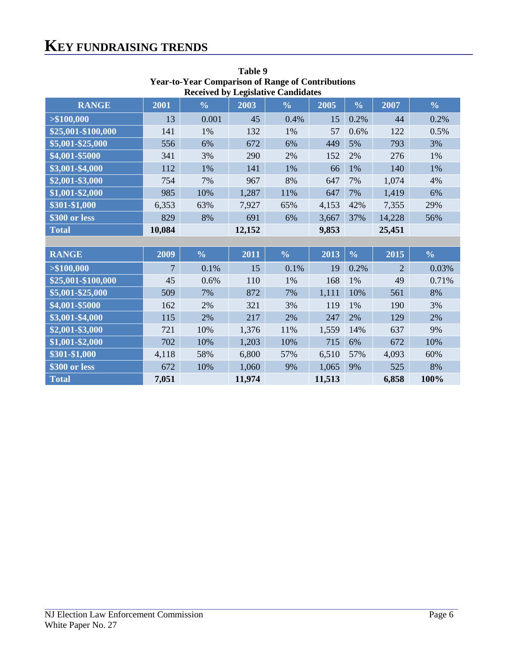|                      |                | Received by Legislative Candidates |        |                |       |               |                |               |
|----------------------|----------------|------------------------------------|--------|----------------|-------|---------------|----------------|---------------|
| <b>RANGE</b>         | 2001           | $\frac{0}{0}$                      | 2003   | $\frac{6}{10}$ | 2005  | $\frac{0}{0}$ | 2007           | $\frac{0}{0}$ |
| > \$100,000          | 13             | 0.001                              | 45     | 0.4%           | 15    | 0.2%          | 44             | 0.2%          |
| \$25,001-\$100,000   | 141            | 1%                                 | 132    | 1%             | 57    | 0.6%          | 122            | 0.5%          |
| \$5,001-\$25,000     | 556            | 6%                                 | 672    | 6%             | 449   | 5%            | 793            | 3%            |
| \$4,001-\$5000       | 341            | 3%                                 | 290    | 2%             | 152   | 2%            | 276            | 1%            |
| \$3,001-\$4,000      | 112            | 1%                                 | 141    | 1%             | 66    | 1%            | 140            | $1\%$         |
| \$2,001-\$3,000      | 754            | 7%                                 | 967    | 8%             | 647   | 7%            | 1,074          | 4%            |
| \$1,001-\$2,000      | 985            | 10%                                | 1,287  | 11%            | 647   | 7%            | 1,419          | 6%            |
| \$301-\$1,000        | 6,353          | 63%                                | 7,927  | 65%            | 4,153 | 42%           | 7,355          | 29%           |
| \$300 or less        | 829            | 8%                                 | 691    | 6%             | 3,667 | 37%           | 14,228         | 56%           |
| <b>Total</b>         | 10,084         |                                    | 12,152 |                | 9,853 |               | 25,451         |               |
|                      |                |                                    |        |                |       |               |                |               |
|                      |                |                                    |        |                |       |               |                |               |
| <b>RANGE</b>         | 2009           | $\frac{0}{0}$                      | 2011   | $\frac{0}{0}$  | 2013  | $\frac{0}{0}$ | 2015           | $\frac{0}{0}$ |
| > \$100,000          | $\overline{7}$ | 0.1%                               | 15     | 0.1%           | 19    | 0.2%          | $\overline{2}$ | 0.03%         |
| $$25,001 - $100,000$ | 45             | 0.6%                               | 110    | 1%             | 168   | 1%            | 49             | 0.71%         |
| \$5,001-\$25,000     | 509            | 7%                                 | 872    | 7%             | 1,111 | 10%           | 561            | 8%            |
| \$4,001-\$5000       | 162            | 2%                                 | 321    | 3%             | 119   | 1%            | 190            | 3%            |
| \$3,001-\$4,000      | 115            | 2%                                 | 217    | 2%             | 247   | 2%            | 129            | 2%            |
| \$2,001-\$3,000      | 721            | 10%                                | 1,376  | 11%            | 1,559 | 14%           | 637            | 9%            |
| \$1,001-\$2,000      | 702            | 10%                                | 1,203  | 10%            | 715   | 6%            | 672            | 10%           |
| \$301-\$1,000        | 4,118          | 58%                                | 6,800  | 57%            | 6,510 | 57%           | 4,093          | 60%           |
| \$300 or less        | 672            | 10%                                | 1,060  | 9%             | 1,065 | 9%            | 525            | 8%            |

**Table 9 Year-to-Year Comparison of Range of Contributions Received by Legislative Candidates**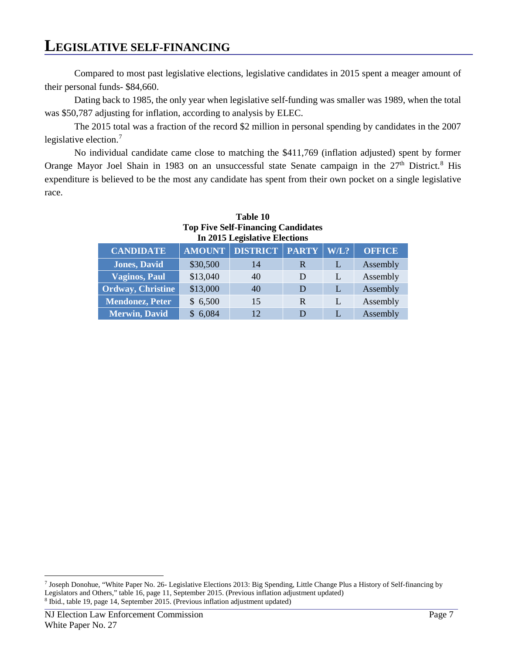#### **LEGISLATIVE SELF-FINANCING**

Compared to most past legislative elections, legislative candidates in 2015 spent a meager amount of their personal funds- \$84,660.

Dating back to 1985, the only year when legislative self-funding was smaller was 1989, when the total was \$50,787 adjusting for inflation, according to analysis by ELEC.

The 2015 total was a fraction of the record \$2 million in personal spending by candidates in the 2007 legislative election.<sup>[7](#page-10-0)</sup>

No individual candidate came close to matching the \$411,769 (inflation adjusted) spent by former Orange Mayor Joel Shain in 19[8](#page-10-1)3 on an unsuccessful state Senate campaign in the 27<sup>th</sup> District.<sup>8</sup> His expenditure is believed to be the most any candidate has spent from their own pocket on a single legislative race.

| In 2015 Legislative Elections |               |                 |              |      |               |
|-------------------------------|---------------|-----------------|--------------|------|---------------|
| <b>CANDIDATE</b>              | <b>AMOUNT</b> | <b>DISTRICT</b> | <b>PARTY</b> | W/L? | <b>OFFICE</b> |
| <b>Jones, David</b>           | \$30,500      | 14              | R            | L    | Assembly      |
| <b>Vaginos, Paul</b>          | \$13,040      | 40              | D            |      | Assembly      |
| Ordway, Christine             | \$13,000      | 40              | D            | L    | Assembly      |
| <b>Mendonez, Peter</b>        | \$6,500       | 15              | R            | L    | Assembly      |
| <b>Merwin</b> , David         | \$6,084       | 12              | D            |      | Assembly      |

#### **Table 10 Top Five Self-Financing Candidates**   $2015$  Legislative

<span id="page-10-1"></span><span id="page-10-0"></span><sup>7</sup> Joseph Donohue, "White Paper No. 26- Legislative Elections 2013: Big Spending, Little Change Plus a History of Self-financing by Legislators and Others," table 16, page 11, September 2015. (Previous inflation adjustment updated) 8 Ibid., table 19, page 14, September 2015. (Previous inflation adjustment updated)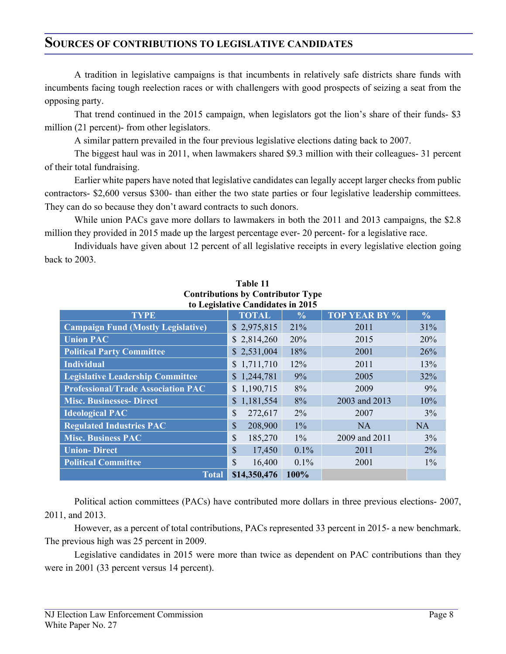#### **SOURCES OF CONTRIBUTIONS TO LEGISLATIVE CANDIDATES**

A tradition in legislative campaigns is that incumbents in relatively safe districts share funds with incumbents facing tough reelection races or with challengers with good prospects of seizing a seat from the opposing party.

That trend continued in the 2015 campaign, when legislators got the lion's share of their funds- \$3 million (21 percent)- from other legislators.

A similar pattern prevailed in the four previous legislative elections dating back to 2007.

The biggest haul was in 2011, when lawmakers shared \$9.3 million with their colleagues- 31 percent of their total fundraising.

Earlier white papers have noted that legislative candidates can legally accept larger checks from public contractors- \$2,600 versus \$300- than either the two state parties or four legislative leadership committees. They can do so because they don't award contracts to such donors.

While union PACs gave more dollars to lawmakers in both the 2011 and 2013 campaigns, the \$2.8 million they provided in 2015 made up the largest percentage ever- 20 percent- for a legislative race.

Individuals have given about 12 percent of all legislative receipts in every legislative election going back to 2003.

| $\frac{1}{2}$<br>to Legislative Candidates in 2015                                    |                         |         |               |           |  |  |  |  |
|---------------------------------------------------------------------------------------|-------------------------|---------|---------------|-----------|--|--|--|--|
| <b>TOP YEAR BY %</b><br><b>TOTAL</b><br><b>TYPE</b><br>$\frac{0}{0}$<br>$\frac{6}{9}$ |                         |         |               |           |  |  |  |  |
| <b>Campaign Fund (Mostly Legislative)</b>                                             | \$2,975,815             | 21%     | 2011          | 31%       |  |  |  |  |
| <b>Union PAC</b>                                                                      | \$2,814,260             | 20%     | 2015          | 20%       |  |  |  |  |
| <b>Political Party Committee</b>                                                      | \$2,531,004             | 18%     | 2001          | 26%       |  |  |  |  |
| <b>Individual</b>                                                                     | \$1,711,710             | 12%     | 2011          | 13%       |  |  |  |  |
| <b>Legislative Leadership Committee</b>                                               | \$1,244,781             | 9%      | 2005          | 32%       |  |  |  |  |
| <b>Professional/Trade Association PAC</b>                                             | \$1,190,715             | 8%      | 2009          | 9%        |  |  |  |  |
| <b>Misc. Businesses- Direct</b>                                                       | \$1,181,554             | 8%      | 2003 and 2013 | 10%       |  |  |  |  |
| <b>Ideological PAC</b>                                                                | 272,617<br>\$           | 2%      | 2007          | 3%        |  |  |  |  |
| <b>Regulated Industries PAC</b>                                                       | \$<br>208,900           | $1\%$   | <b>NA</b>     | <b>NA</b> |  |  |  |  |
| <b>Misc. Business PAC</b>                                                             | \$<br>185,270           | $1\%$   | 2009 and 2011 | $3\%$     |  |  |  |  |
| <b>Union-Direct</b>                                                                   | $\mathbb{S}$<br>17,450  | $0.1\%$ | 2011          | $2\%$     |  |  |  |  |
| <b>Political Committee</b>                                                            | $\mathcal{S}$<br>16,400 | $0.1\%$ | 2001          | $1\%$     |  |  |  |  |
| 100%<br>\$14,350,476<br><b>Total</b>                                                  |                         |         |               |           |  |  |  |  |

#### **Table 11 Contributions by Contributor Type**

Political action committees (PACs) have contributed more dollars in three previous elections- 2007, 2011, and 2013.

However, as a percent of total contributions, PACs represented 33 percent in 2015- a new benchmark. The previous high was 25 percent in 2009.

Legislative candidates in 2015 were more than twice as dependent on PAC contributions than they were in 2001 (33 percent versus 14 percent).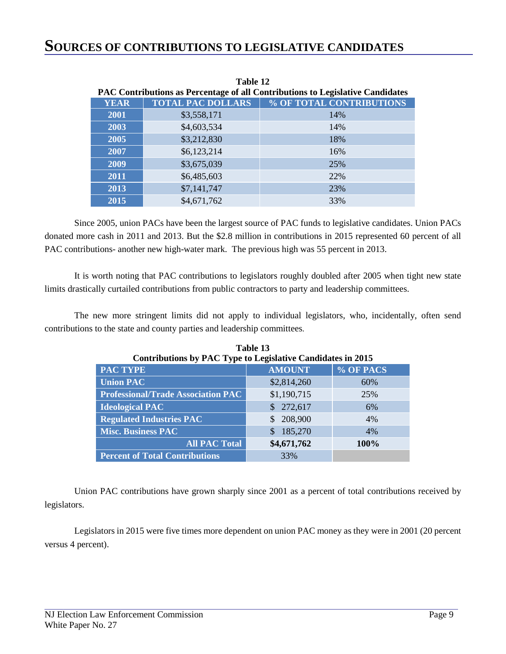| <b>PAC Contributions as Percentage of all Contributions to Legislative Candidates</b> |                          |                          |  |  |  |  |
|---------------------------------------------------------------------------------------|--------------------------|--------------------------|--|--|--|--|
| <b>YEAR</b>                                                                           | <b>TOTAL PAC DOLLARS</b> | % OF TOTAL CONTRIBUTIONS |  |  |  |  |
| 2001                                                                                  | \$3,558,171              | 14%                      |  |  |  |  |
| 2003                                                                                  | \$4,603,534              | 14%                      |  |  |  |  |
| 2005                                                                                  | \$3,212,830              | 18%                      |  |  |  |  |
| 2007                                                                                  | \$6,123,214              | 16%                      |  |  |  |  |
| 2009                                                                                  | \$3,675,039              | 25%                      |  |  |  |  |
| 2011                                                                                  | \$6,485,603              | 22%                      |  |  |  |  |
| 2013                                                                                  | \$7,141,747              | 23%                      |  |  |  |  |
| 2015                                                                                  | \$4,671,762              | 33%                      |  |  |  |  |

**Table 12** 

Since 2005, union PACs have been the largest source of PAC funds to legislative candidates. Union PACs donated more cash in 2011 and 2013. But the \$2.8 million in contributions in 2015 represented 60 percent of all

It is worth noting that PAC contributions to legislators roughly doubled after 2005 when tight new state limits drastically curtailed contributions from public contractors to party and leadership committees.

PAC contributions- another new high-water mark. The previous high was 55 percent in 2013.

The new more stringent limits did not apply to individual legislators, who, incidentally, often send contributions to the state and county parties and leadership committees.

| Contributions by PAC Type to Legislative Candidates in 2015 |               |             |  |  |  |
|-------------------------------------------------------------|---------------|-------------|--|--|--|
| <b>PAC TYPE</b>                                             | <b>AMOUNT</b> | % OF PACS   |  |  |  |
| <b>Union PAC</b>                                            | \$2,814,260   | 60%         |  |  |  |
| <b>Professional/Trade Association PAC</b>                   | \$1,190,715   | 25%         |  |  |  |
| <b>Ideological PAC</b>                                      | \$272,617     | 6%          |  |  |  |
| <b>Regulated Industries PAC</b>                             | 208,900       | 4%          |  |  |  |
| <b>Misc. Business PAC</b>                                   | 185,270       | 4%          |  |  |  |
| <b>All PAC Total</b>                                        | \$4,671,762   | <b>100%</b> |  |  |  |
| <b>Percent of Total Contributions</b>                       | 33%           |             |  |  |  |

**Table 13** 

Union PAC contributions have grown sharply since 2001 as a percent of total contributions received by legislators.

Legislators in 2015 were five times more dependent on union PAC money as they were in 2001 (20 percent versus 4 percent).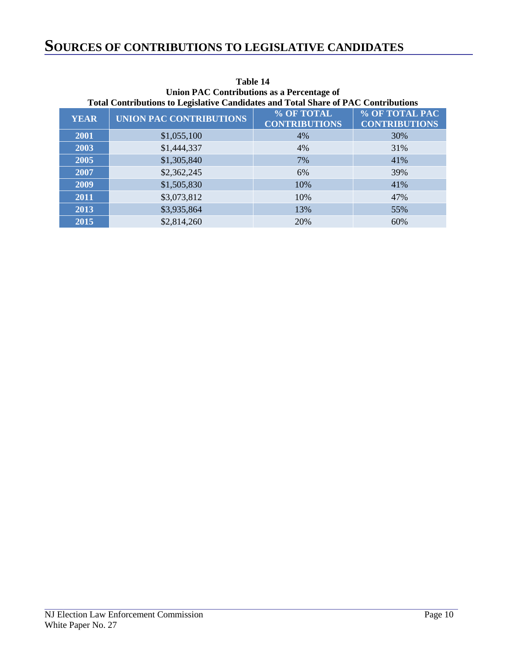# **SOURCES OF CONTRIBUTIONS TO LEGISLATIVE CANDIDATES**

| Total Contributions to Legislative Candidates and Total Share of PAC Contributions |                                |                                    |                                        |  |  |
|------------------------------------------------------------------------------------|--------------------------------|------------------------------------|----------------------------------------|--|--|
| <b>YEAR</b>                                                                        | <b>UNION PAC CONTRIBUTIONS</b> | % OF TOTAL<br><b>CONTRIBUTIONS</b> | % OF TOTAL PAC<br><b>CONTRIBUTIONS</b> |  |  |
| 2001                                                                               | \$1,055,100                    | 4%                                 | 30%                                    |  |  |
| 2003                                                                               | \$1,444,337                    | 4%                                 | 31%                                    |  |  |
| 2005                                                                               | \$1,305,840                    | 7%                                 | 41%                                    |  |  |
| 2007                                                                               | \$2,362,245                    | 6%                                 | 39%                                    |  |  |
| 2009                                                                               | \$1,505,830                    | 10%                                | 41%                                    |  |  |
| 2011                                                                               | \$3,073,812                    | 10%                                | 47%                                    |  |  |
| 2013                                                                               | \$3,935,864                    | 13%                                | 55%                                    |  |  |
| 2015                                                                               | \$2,814,260                    | 20%                                | 60%                                    |  |  |

#### **Table 14 Union PAC Contributions as a Percentage of**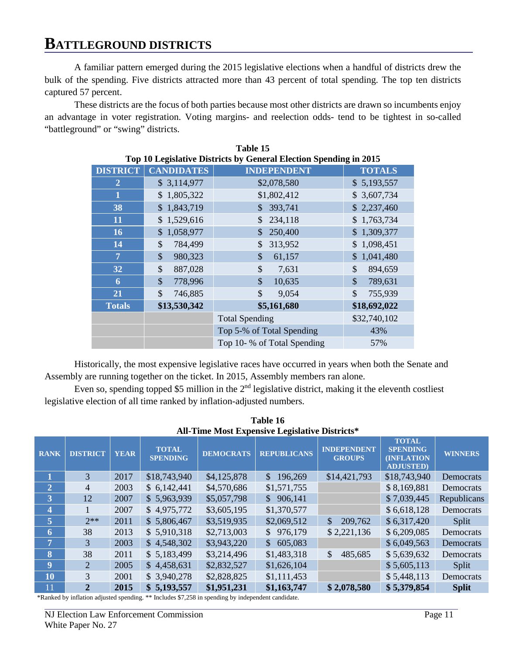A familiar pattern emerged during the 2015 legislative elections when a handful of districts drew the bulk of the spending. Five districts attracted more than 43 percent of total spending. The top ten districts captured 57 percent.

These districts are the focus of both parties because most other districts are drawn so incumbents enjoy an advantage in voter registration. Voting margins- and reelection odds- tend to be tightest in so-called "battleground" or "swing" districts.

| Table 15        |                           |                                                                   |                          |  |  |
|-----------------|---------------------------|-------------------------------------------------------------------|--------------------------|--|--|
|                 |                           | Top 10 Legislative Districts by General Election Spending in 2015 |                          |  |  |
| <b>DISTRICT</b> | <b>CANDIDATES</b>         | <b>INDEPENDENT</b>                                                | <b>TOTALS</b>            |  |  |
| 2               | \$3,114,977               | \$2,078,580                                                       | \$5,193,557              |  |  |
| 1               | 1,805,322<br>\$           | \$1,802,412                                                       | \$3,607,734              |  |  |
| 38              | 1,843,719<br>$\mathbb{S}$ | 393,741                                                           | \$2,237,460              |  |  |
| 11              | 1,529,616<br>\$           | 234,118<br>\$                                                     | 1,763,734                |  |  |
| <b>16</b>       | 1,058,977<br>\$           | 250,400                                                           | \$1,309,377              |  |  |
| 14              | \$<br>784,499             | 313,952<br>\$                                                     | 1,098,451<br>\$          |  |  |
| $\overline{7}$  | \$<br>980,323             | \$<br>61,157                                                      | 1,041,480<br>\$          |  |  |
| 32              | \$<br>887,028             | \$<br>7,631                                                       | \$<br>894,659            |  |  |
| 6               | \$<br>778,996             | $\mathcal{S}$<br>10,635                                           | $\mathcal{S}$<br>789,631 |  |  |
| 21              | \$<br>746,885             | \$<br>9,054                                                       | $\mathcal{S}$<br>755,939 |  |  |
| <b>Totals</b>   | \$13,530,342              | \$5,161,680                                                       | \$18,692,022             |  |  |
|                 |                           | <b>Total Spending</b>                                             | \$32,740,102             |  |  |
|                 |                           | Top 5-% of Total Spending                                         | 43%                      |  |  |
|                 |                           | Top 10- % of Total Spending                                       | 57%                      |  |  |

Historically, the most expensive legislative races have occurred in years when both the Senate and Assembly are running together on the ticket. In 2015, Assembly members ran alone.

Even so, spending topped \$5 million in the  $2<sup>nd</sup>$  legislative district, making it the eleventh costliest legislative election of all time ranked by inflation-adjusted numbers.

| 1 able 16               |                 |             |                                 |                  |                                                       |                                      |                                                                           |                |
|-------------------------|-----------------|-------------|---------------------------------|------------------|-------------------------------------------------------|--------------------------------------|---------------------------------------------------------------------------|----------------|
|                         |                 |             |                                 |                  | <b>All-Time Most Expensive Legislative Districts*</b> |                                      |                                                                           |                |
| <b>RANK</b>             | <b>DISTRICT</b> | <b>YEAR</b> | <b>TOTAL</b><br><b>SPENDING</b> | <b>DEMOCRATS</b> | <b>REPUBLICANS</b>                                    | <b>INDEPENDENT</b><br><b>GROUPS</b>  | <b>TOTAL</b><br><b>SPENDING</b><br><b>(INFLATION)</b><br><b>ADJUSTED)</b> | <b>WINNERS</b> |
|                         | $\overline{3}$  | 2017        | \$18,743,940                    | \$4,125,878      | 196,269<br>$\mathcal{S}$                              | \$14,421,793                         | \$18,743,940                                                              | Democrats      |
| $\overline{2}$          | $\overline{4}$  | 2003        | \$6,142,441                     | \$4,570,686      | \$1,571,755                                           |                                      | \$8,169,881                                                               | Democrats      |
| 3 <sub>1</sub>          | 12              | 2007        | \$5,963,939                     | \$5,057,798      | \$906,141                                             |                                      | \$7,039,445                                                               | Republicans    |
| 4                       |                 | 2007        | \$4,975,772                     | \$3,605,195      | \$1,370,577                                           |                                      | \$6,618,128                                                               | Democrats      |
| $\vert$ 5               | $2**$           | 2011        | \$5,806,467                     | \$3,519,935      | \$2,069,512                                           | $\boldsymbol{\mathsf{S}}$<br>209,762 | \$6,317,420                                                               | Split          |
| 6                       | 38              | 2013        | \$5,910,318                     | \$2,713,003      | \$976,179                                             | \$2,221,136                          | \$6,209,085                                                               | Democrats      |
| $\overline{7}$          | 3               | 2003        | \$4,548,302                     | \$3,943,220      | 605,083<br>$\mathbb{S}^-$                             |                                      | \$6,049,563                                                               | Democrats      |
| $\overline{\mathbf{8}}$ | 38              | 2011        | \$5,183,499                     | \$3,214,496      | \$1,483,318                                           | \$<br>485,685                        | \$5,639,632                                                               | Democrats      |
| 9                       | $\overline{2}$  | 2005        | \$4,458,631                     | \$2,832,527      | \$1,626,104                                           |                                      | \$5,605,113                                                               | Split          |
| 10                      | 3               | 2001        | \$3,940,278                     | \$2,828,825      | \$1,111,453                                           |                                      | \$5,448,113                                                               | Democrats      |
| 11                      | $\overline{2}$  | 2015        | \$5,193,557                     | \$1,951,231      | \$1,163,747                                           | \$2,078,580                          | \$5,379,854                                                               | <b>Split</b>   |

**Table 16** 

\*Ranked by inflation adjusted spending. \*\* Includes \$7,258 in spending by independent candidate.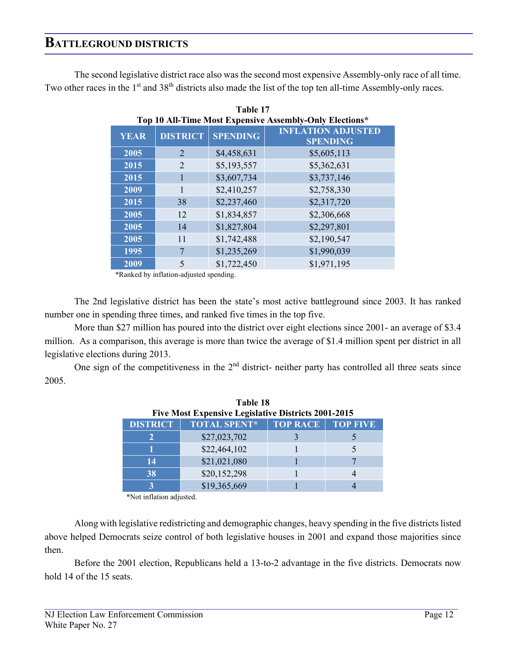The second legislative district race also was the second most expensive Assembly-only race of all time. Two other races in the 1<sup>st</sup> and 38<sup>th</sup> districts also made the list of the top ten all-time Assembly-only races.

| Top 10 All-Time Most Expensive Assembly-Only Elections* |                 |                 |                                              |  |
|---------------------------------------------------------|-----------------|-----------------|----------------------------------------------|--|
| <b>YEAR</b>                                             | <b>DISTRICT</b> | <b>SPENDING</b> | <b>INFLATION ADJUSTED</b><br><b>SPENDING</b> |  |
| 2005                                                    | $\overline{2}$  | \$4,458,631     | \$5,605,113                                  |  |
| 2015                                                    | $\overline{2}$  | \$5,193,557     | \$5,362,631                                  |  |
| 2015                                                    |                 | \$3,607,734     | \$3,737,146                                  |  |
| 2009                                                    | 1               | \$2,410,257     | \$2,758,330                                  |  |
| 2015                                                    | 38              | \$2,237,460     | \$2,317,720                                  |  |
| 2005                                                    | 12              | \$1,834,857     | \$2,306,668                                  |  |
| 2005                                                    | 14              | \$1,827,804     | \$2,297,801                                  |  |
| 2005                                                    | 11              | \$1,742,488     | \$2,190,547                                  |  |
| 1995                                                    | 7               | \$1,235,269     | \$1,990,039                                  |  |
| 2009                                                    | 5               | \$1,722,450     | \$1,971,195                                  |  |

**Table 17**

\*Ranked by inflation-adjusted spending.

The 2nd legislative district has been the state's most active battleground since 2003. It has ranked number one in spending three times, and ranked five times in the top five.

More than \$27 million has poured into the district over eight elections since 2001- an average of \$3.4 million. As a comparison, this average is more than twice the average of \$1.4 million spent per district in all legislative elections during 2013.

One sign of the competitiveness in the  $2<sup>nd</sup>$  district- neither party has controlled all three seats since 2005.

**Table 18**

| <b>Five Most Expensive Legislative Districts 2001-2015</b> |                     |                          |  |  |  |
|------------------------------------------------------------|---------------------|--------------------------|--|--|--|
| <b>DISTRICT</b>                                            | <b>TOTAL SPENT*</b> | <b>TOP RACE TOP FIVE</b> |  |  |  |
|                                                            | \$27,023,702        |                          |  |  |  |
|                                                            | \$22,464,102        |                          |  |  |  |
| 14                                                         | \$21,021,080        |                          |  |  |  |
| 38                                                         | \$20,152,298        |                          |  |  |  |
|                                                            | \$19,365,669        |                          |  |  |  |

\*Not inflation adjusted.

Along with legislative redistricting and demographic changes, heavy spending in the five districts listed above helped Democrats seize control of both legislative houses in 2001 and expand those majorities since then.

Before the 2001 election, Republicans held a 13-to-2 advantage in the five districts. Democrats now hold 14 of the 15 seats.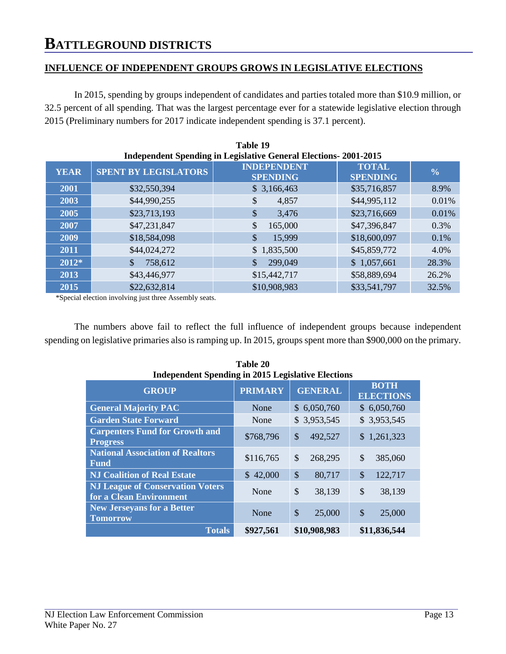#### **INFLUENCE OF INDEPENDENT GROUPS GROWS IN LEGISLATIVE ELECTIONS**

In 2015, spending by groups independent of candidates and parties totaled more than \$10.9 million, or 32.5 percent of all spending. That was the largest percentage ever for a statewide legislative election through 2015 (Preliminary numbers for 2017 indicate independent spending is 37.1 percent).

| Table 19    |                             |                                                                        |                                 |               |  |
|-------------|-----------------------------|------------------------------------------------------------------------|---------------------------------|---------------|--|
|             |                             | <b>Independent Spending in Legislative General Elections-2001-2015</b> |                                 |               |  |
| <b>YEAR</b> | <b>SPENT BY LEGISLATORS</b> | <b>INDEPENDENT</b><br><b>SPENDING</b>                                  | <b>TOTAL</b><br><b>SPENDING</b> | $\frac{0}{0}$ |  |
| 2001        | \$32,550,394                | \$3,166,463                                                            | \$35,716,857                    | 8.9%          |  |
| 2003        | \$44,990,255                | \$<br>4,857                                                            | \$44,995,112                    | 0.01%         |  |
| 2005        | \$23,713,193                | \$<br>3,476                                                            | \$23,716,669                    | 0.01%         |  |
| 2007        | \$47,231,847                | \$<br>165,000                                                          | \$47,396,847                    | 0.3%          |  |
| 2009        | \$18,584,098                | \$<br>15,999                                                           | \$18,600,097                    | 0.1%          |  |
| 2011        | \$44,024,272                | 1,835,500<br>$\mathbb{S}$                                              | \$45,859,772                    | 4.0%          |  |
| 2012*       | 758,612                     | 299,049                                                                | \$1,057,661                     | 28.3%         |  |
| 2013        | \$43,446,977                | \$15,442,717                                                           | \$58,889,694                    | 26.2%         |  |
| 2015        | \$22,632,814                | \$10,908,983                                                           | \$33,541,797                    | 32.5%         |  |

\*Special election involving just three Assembly seats.

The numbers above fail to reflect the full influence of independent groups because independent spending on legislative primaries also is ramping up. In 2015, groups spent more than \$900,000 on the primary.

| TAME 40<br><b>Independent Spending in 2015 Legislative Elections</b> |                |                |                                 |  |
|----------------------------------------------------------------------|----------------|----------------|---------------------------------|--|
| <b>GROUP</b>                                                         | <b>PRIMARY</b> | <b>GENERAL</b> | <b>BOTH</b><br><b>ELECTIONS</b> |  |
| <b>General Majority PAC</b>                                          | None           | \$6,050,760    | \$6,050,760                     |  |
| <b>Garden State Forward</b>                                          | None           | \$3,953,545    | \$3,953,545                     |  |
| <b>Carpenters Fund for Growth and</b><br><b>Progress</b>             | \$768,796      | \$<br>492,527  | \$1,261,323                     |  |
| <b>National Association of Realtors</b><br><b>Fund</b>               | \$116,765      | \$<br>268,295  | \$<br>385,060                   |  |
| <b>NJ Coalition of Real Estate</b>                                   | \$42,000       | \$<br>80,717   | $\mathcal{S}$<br>122,717        |  |
| <b>NJ League of Conservation Voters</b><br>for a Clean Environment   | None           | \$<br>38,139   | \$<br>38,139                    |  |
| <b>New Jerseyans for a Better</b><br><b>Tomorrow</b>                 | None           | \$<br>25,000   | $\mathcal{S}$<br>25,000         |  |
| <b>Totals</b>                                                        | \$927,561      | \$10,908,983   | \$11,836,544                    |  |

| Table 20                                                  |  |  |  |  |
|-----------------------------------------------------------|--|--|--|--|
| <b>Independent Spending in 2015 Legislative Elections</b> |  |  |  |  |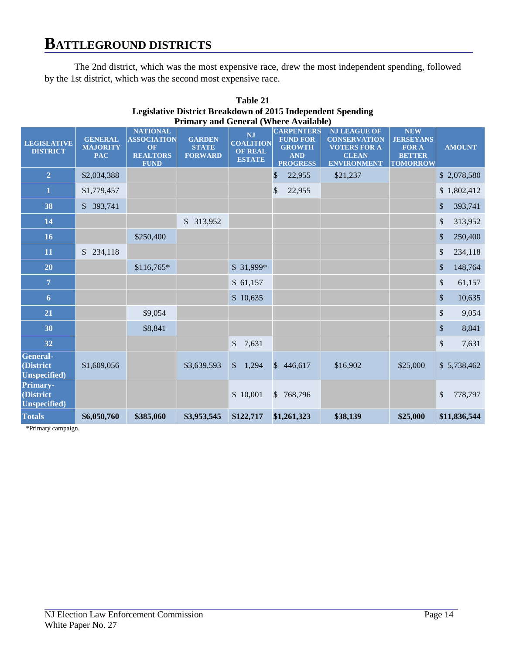The 2nd district, which was the most expensive race, drew the most independent spending, followed by the 1st district, which was the second most expensive race.

| Primary and General (Where Available)                |                                                 |                                                                                      |                                                 |                                                                  |                                                                                        |                                                                                                         |                                                                                    |                                     |
|------------------------------------------------------|-------------------------------------------------|--------------------------------------------------------------------------------------|-------------------------------------------------|------------------------------------------------------------------|----------------------------------------------------------------------------------------|---------------------------------------------------------------------------------------------------------|------------------------------------------------------------------------------------|-------------------------------------|
| <b>LEGISLATIVE</b><br><b>DISTRICT</b>                | <b>GENERAL</b><br><b>MAJORITY</b><br><b>PAC</b> | <b>NATIONAL</b><br><b>ASSOCIATION</b><br><b>OF</b><br><b>REALTORS</b><br><b>FUND</b> | <b>GARDEN</b><br><b>STATE</b><br><b>FORWARD</b> | <b>NJ</b><br><b>COALITION</b><br><b>OF REAL</b><br><b>ESTATE</b> | <b>CARPENTERS</b><br><b>FUND FOR</b><br><b>GROWTH</b><br><b>AND</b><br><b>PROGRESS</b> | <b>NJ LEAGUE OF</b><br><b>CONSERVATION</b><br><b>VOTERS FOR A</b><br><b>CLEAN</b><br><b>ENVIRONMENT</b> | <b>NEW</b><br><b>JERSEYANS</b><br><b>FOR A</b><br><b>BETTER</b><br><b>TOMORROW</b> | <b>AMOUNT</b>                       |
| $\overline{2}$                                       | \$2,034,388                                     |                                                                                      |                                                 |                                                                  | \$<br>22,955                                                                           | \$21,237                                                                                                |                                                                                    | \$2,078,580                         |
| $\mathbf{1}$                                         | \$1,779,457                                     |                                                                                      |                                                 |                                                                  | 22,955<br>\$                                                                           |                                                                                                         |                                                                                    | \$1,802,412                         |
| 38                                                   | \$393,741                                       |                                                                                      |                                                 |                                                                  |                                                                                        |                                                                                                         |                                                                                    | \$<br>393,741                       |
| 14                                                   |                                                 |                                                                                      | \$ 313,952                                      |                                                                  |                                                                                        |                                                                                                         |                                                                                    | \$<br>313,952                       |
| 16                                                   |                                                 | \$250,400                                                                            |                                                 |                                                                  |                                                                                        |                                                                                                         |                                                                                    | \$<br>250,400                       |
| 11                                                   | \$234,118                                       |                                                                                      |                                                 |                                                                  |                                                                                        |                                                                                                         |                                                                                    | \$<br>234,118                       |
| 20                                                   |                                                 | $$116,765*$                                                                          |                                                 | $$31,999*$                                                       |                                                                                        |                                                                                                         |                                                                                    | \$<br>148,764                       |
| $\overline{7}$                                       |                                                 |                                                                                      |                                                 | \$61,157                                                         |                                                                                        |                                                                                                         |                                                                                    | \$<br>61,157                        |
| $6\phantom{1}$                                       |                                                 |                                                                                      |                                                 | \$10,635                                                         |                                                                                        |                                                                                                         |                                                                                    | $\boldsymbol{\mathsf{S}}$<br>10,635 |
| 21                                                   |                                                 | \$9,054                                                                              |                                                 |                                                                  |                                                                                        |                                                                                                         |                                                                                    | \$<br>9,054                         |
| 30                                                   |                                                 | \$8,841                                                                              |                                                 |                                                                  |                                                                                        |                                                                                                         |                                                                                    | \$<br>8,841                         |
| 32                                                   |                                                 |                                                                                      |                                                 | \$<br>7,631                                                      |                                                                                        |                                                                                                         |                                                                                    | \$<br>7,631                         |
| <b>General-</b><br>(District<br><b>Unspecified</b> ) | \$1,609,056                                     |                                                                                      | \$3,639,593                                     | 1,294<br>$\mathcal{S}$                                           | $\mathcal{S}$<br>446,617                                                               | \$16,902                                                                                                | \$25,000                                                                           | \$5,738,462                         |
| Primary-<br>(District<br><b>Unspecified</b> )        |                                                 |                                                                                      |                                                 | \$10,001                                                         | 768,796<br>$\mathbb{S}$                                                                |                                                                                                         |                                                                                    | \$<br>778,797                       |
| <b>Totals</b>                                        | \$6,050,760                                     | \$385,060                                                                            | \$3,953,545                                     | \$122,717                                                        | \$1,261,323                                                                            | \$38,139                                                                                                | \$25,000                                                                           | \$11,836,544                        |

| Table 21                                                           |
|--------------------------------------------------------------------|
| <b>Legislative District Breakdown of 2015 Independent Spending</b> |
| <b>Primary and General (Where Available)</b>                       |

\*Primary campaign.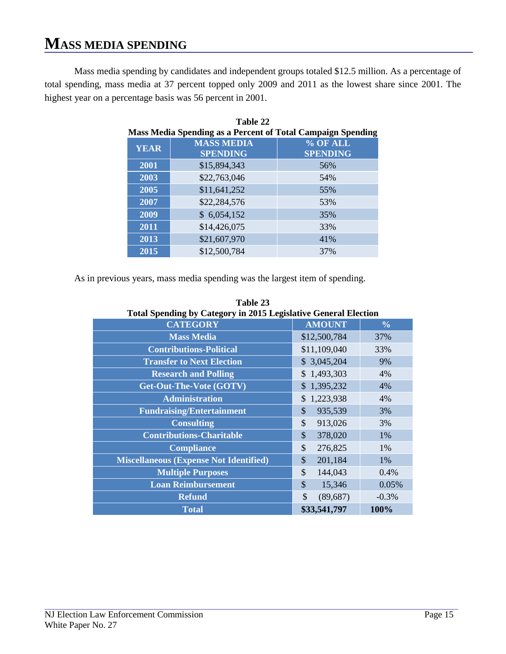Mass media spending by candidates and independent groups totaled \$12.5 million. As a percentage of total spending, mass media at 37 percent topped only 2009 and 2011 as the lowest share since 2001. The highest year on a percentage basis was 56 percent in 2001.

| Table 22<br><b>Mass Media Spending as a Percent of Total Campaign Spending</b> |                                      |                             |  |  |  |  |  |  |
|--------------------------------------------------------------------------------|--------------------------------------|-----------------------------|--|--|--|--|--|--|
| <b>YEAR</b>                                                                    | <b>MASS MEDIA</b><br><b>SPENDING</b> | % OF ALL<br><b>SPENDING</b> |  |  |  |  |  |  |
| 2001                                                                           | \$15,894,343                         | 56%                         |  |  |  |  |  |  |
| 2003                                                                           | \$22,763,046                         | 54%                         |  |  |  |  |  |  |
| 2005                                                                           | \$11,641,252                         | 55%                         |  |  |  |  |  |  |
| 2007                                                                           | \$22,284,576                         | 53%                         |  |  |  |  |  |  |
| 2009                                                                           | \$6,054,152                          | 35%                         |  |  |  |  |  |  |
| 2011                                                                           | \$14,426,075                         | 33%                         |  |  |  |  |  |  |
| 2013                                                                           | \$21,607,970                         | 41%                         |  |  |  |  |  |  |
| 2015                                                                           | \$12,500,784                         | 37%                         |  |  |  |  |  |  |

As in previous years, mass media spending was the largest item of spending.

| Total Spending by Category in 2015 Legislative General Election |                          |               |  |  |  |  |  |
|-----------------------------------------------------------------|--------------------------|---------------|--|--|--|--|--|
| <b>CATEGORY</b>                                                 | <b>AMOUNT</b>            | $\frac{0}{0}$ |  |  |  |  |  |
| <b>Mass Media</b>                                               | \$12,500,784             | 37%           |  |  |  |  |  |
| <b>Contributions-Political</b>                                  | \$11,109,040             | 33%           |  |  |  |  |  |
| <b>Transfer to Next Election</b>                                | \$3,045,204              | 9%            |  |  |  |  |  |
| <b>Research and Polling</b>                                     | \$1,493,303              | 4%            |  |  |  |  |  |
| Get-Out-The-Vote (GOTV)                                         | \$1,395,232              | 4%            |  |  |  |  |  |
| <b>Administration</b>                                           | 1,223,938<br>\$          | 4%            |  |  |  |  |  |
| <b>Fundraising/Entertainment</b>                                | \$<br>935,539            | 3%            |  |  |  |  |  |
| <b>Consulting</b>                                               | \$<br>913,026            | 3%            |  |  |  |  |  |
| <b>Contributions-Charitable</b>                                 | \$<br>378,020            | 1%            |  |  |  |  |  |
| <b>Compliance</b>                                               | $\mathcal{S}$<br>276,825 | 1%            |  |  |  |  |  |
| <b>Miscellaneous (Expense Not Identified)</b>                   | \$<br>201,184            | 1%            |  |  |  |  |  |
| <b>Multiple Purposes</b>                                        | \$<br>144,043            | 0.4%          |  |  |  |  |  |
| <b>Loan Reimbursement</b>                                       | \$<br>15,346             | 0.05%         |  |  |  |  |  |
| <b>Refund</b>                                                   | \$<br>(89, 687)          | $-0.3%$       |  |  |  |  |  |
| <b>Total</b>                                                    | \$33,541,797             | 100%          |  |  |  |  |  |

**Table 23 Total Spending by Category in 2015 Legislative General Election**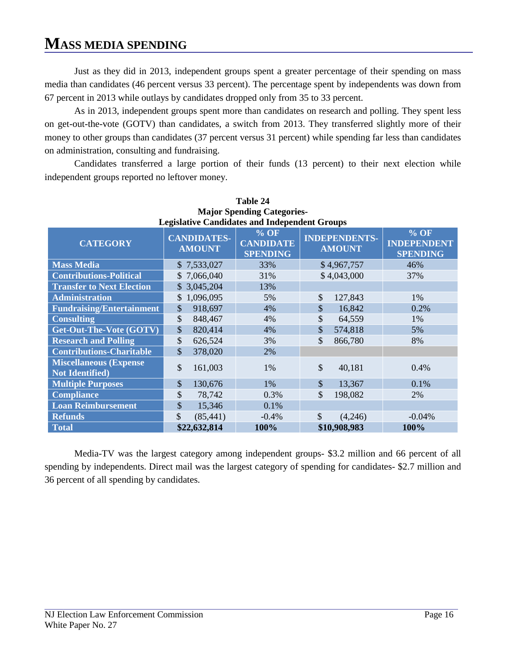Just as they did in 2013, independent groups spent a greater percentage of their spending on mass media than candidates (46 percent versus 33 percent). The percentage spent by independents was down from 67 percent in 2013 while outlays by candidates dropped only from 35 to 33 percent.

As in 2013, independent groups spent more than candidates on research and polling. They spent less on get-out-the-vote (GOTV) than candidates, a switch from 2013. They transferred slightly more of their money to other groups than candidates (37 percent versus 31 percent) while spending far less than candidates on administration, consulting and fundraising.

Candidates transferred a large portion of their funds (13 percent) to their next election while independent groups reported no leftover money.

| Table 24                                                 |                                     |              |                                                      |                                       |              |                                                 |  |  |  |  |
|----------------------------------------------------------|-------------------------------------|--------------|------------------------------------------------------|---------------------------------------|--------------|-------------------------------------------------|--|--|--|--|
|                                                          | <b>Major Spending Categories-</b>   |              |                                                      |                                       |              |                                                 |  |  |  |  |
|                                                          |                                     |              | <b>Legislative Candidates and Independent Groups</b> |                                       |              |                                                 |  |  |  |  |
| <b>CATEGORY</b>                                          | <b>CANDIDATES-</b><br><b>AMOUNT</b> |              | $%$ OF<br><b>CANDIDATE</b><br><b>SPENDING</b>        | <b>INDEPENDENTS-</b><br><b>AMOUNT</b> |              | $%$ OF<br><b>INDEPENDENT</b><br><b>SPENDING</b> |  |  |  |  |
| <b>Mass Media</b>                                        |                                     | \$7,533,027  | 33%                                                  |                                       | \$4,967,757  | 46%                                             |  |  |  |  |
| <b>Contributions-Political</b>                           |                                     | \$7,066,040  | 31%                                                  |                                       | \$4,043,000  | 37%                                             |  |  |  |  |
| <b>Transfer to Next Election</b>                         |                                     | \$3,045,204  | 13%                                                  |                                       |              |                                                 |  |  |  |  |
| <b>Administration</b>                                    |                                     | \$1,096,095  | 5%                                                   | \$                                    | 127,843      | 1%                                              |  |  |  |  |
| <b>Fundraising/Entertainment</b>                         | \$                                  | 918,697      | 4%                                                   | \$                                    | 16,842       | 0.2%                                            |  |  |  |  |
| <b>Consulting</b>                                        | \$                                  | 848,467      | 4%                                                   | \$                                    | 64,559       | 1%                                              |  |  |  |  |
| Get-Out-The-Vote (GOTV)                                  | \$                                  | 820,414      | 4%                                                   | \$                                    | 574,818      | 5%                                              |  |  |  |  |
| <b>Research and Polling</b>                              | \$                                  | 626,524      | 3%                                                   | \$                                    | 866,780      | 8%                                              |  |  |  |  |
| <b>Contributions-Charitable</b>                          | \$                                  | 378,020      | 2%                                                   |                                       |              |                                                 |  |  |  |  |
| <b>Miscellaneous (Expense)</b><br><b>Not Identified)</b> | \$                                  | 161,003      | 1%                                                   | \$                                    | 40,181       | 0.4%                                            |  |  |  |  |
| <b>Multiple Purposes</b>                                 | \$                                  | 130,676      | 1%                                                   | \$                                    | 13,367       | 0.1%                                            |  |  |  |  |
| <b>Compliance</b>                                        | \$                                  | 78,742       | 0.3%                                                 | \$                                    | 198,082      | 2%                                              |  |  |  |  |
| <b>Loan Reimbursement</b>                                | \$                                  | 15,346       | 0.1%                                                 |                                       |              |                                                 |  |  |  |  |
| <b>Refunds</b>                                           | \$                                  | (85, 441)    | $-0.4%$                                              | $\mathcal{S}$                         | (4,246)      | $-0.04%$                                        |  |  |  |  |
| <b>Total</b>                                             |                                     | \$22,632,814 | 100%                                                 |                                       | \$10,908,983 | 100%                                            |  |  |  |  |

Media-TV was the largest category among independent groups- \$3.2 million and 66 percent of all spending by independents. Direct mail was the largest category of spending for candidates- \$2.7 million and 36 percent of all spending by candidates.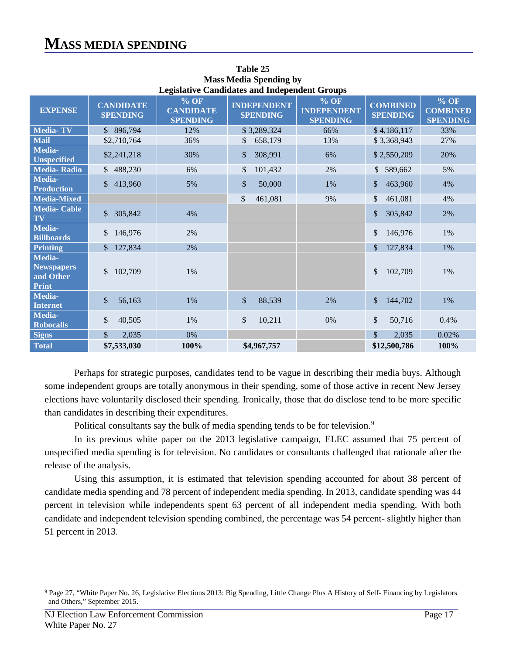| педвануе санинанся ани пниерениент от опря               |                                     |                                               |                                       |                                                           |                                    |                                              |  |  |  |  |
|----------------------------------------------------------|-------------------------------------|-----------------------------------------------|---------------------------------------|-----------------------------------------------------------|------------------------------------|----------------------------------------------|--|--|--|--|
| <b>EXPENSE</b>                                           | <b>CANDIDATE</b><br><b>SPENDING</b> | $%$ OF<br><b>CANDIDATE</b><br><b>SPENDING</b> | <b>INDEPENDENT</b><br><b>SPENDING</b> | $\frac{9}{6}$ OF<br><b>INDEPENDENT</b><br><b>SPENDING</b> | <b>COMBINED</b><br><b>SPENDING</b> | $%$ OF<br><b>COMBINED</b><br><b>SPENDING</b> |  |  |  |  |
| <b>Media-TV</b>                                          | \$896,794                           | 12%                                           | \$3,289,324                           | 66%                                                       | \$4,186,117                        | 33%                                          |  |  |  |  |
| <b>Mail</b>                                              | \$2,710,764                         | 36%                                           | $\mathbb{S}$<br>658,179               | 13%                                                       | \$3,368,943                        | 27%                                          |  |  |  |  |
| Media-<br><b>Unspecified</b>                             | \$2,241,218                         | 30%                                           | \$<br>308,991                         | 6%                                                        | \$2,550,209                        | 20%                                          |  |  |  |  |
| <b>Media-Radio</b>                                       | \$488,230                           | 6%                                            | \$<br>101,432                         | 2%                                                        | 589,662<br>\$                      | 5%                                           |  |  |  |  |
| Media-<br><b>Production</b>                              | \$413,960                           | 5%                                            | \$<br>50,000                          | 1%                                                        | 463,960<br>$\frac{1}{2}$           | 4%                                           |  |  |  |  |
| <b>Media-Mixed</b>                                       |                                     |                                               | $\mathcal{S}$<br>461,081              | 9%                                                        | 461,081<br>\$                      | 4%                                           |  |  |  |  |
| <b>Media-Cable</b><br>TV                                 | 305,842<br>$\mathbb{S}^-$           | 4%                                            |                                       |                                                           | \$<br>305,842                      | 2%                                           |  |  |  |  |
| Media-<br><b>Billboards</b>                              | 146,976<br>\$                       | 2%                                            |                                       |                                                           | \$<br>146,976                      | 1%                                           |  |  |  |  |
| <b>Printing</b>                                          | 127,834<br>\$.                      | 2%                                            |                                       |                                                           | $\mathcal{S}$<br>127,834           | 1%                                           |  |  |  |  |
| Media-<br><b>Newspapers</b><br>and Other<br><b>Print</b> | 102,709<br>\$                       | 1%                                            |                                       |                                                           | 102,709<br>\$                      | 1%                                           |  |  |  |  |
| Media-<br><b>Internet</b>                                | \$<br>56,163                        | 1%                                            | \$<br>88,539                          | 2%                                                        | 144,702<br>\$                      | 1%                                           |  |  |  |  |
| Media-<br><b>Robocalls</b>                               | \$<br>40,505                        | 1%                                            | \$<br>10,211                          | 0%                                                        | \$<br>50,716                       | 0.4%                                         |  |  |  |  |
| <b>Signs</b>                                             | $\mathbb{S}$<br>2,035               | 0%                                            |                                       |                                                           | $\mathcal{S}$<br>2,035             | 0.02%                                        |  |  |  |  |
| <b>Total</b>                                             | \$7,533,030                         | 100%                                          | \$4,967,757                           |                                                           | \$12,500,786                       | 100%                                         |  |  |  |  |

**Table 25 Mass Media Spending by Legislative Candidates and Independent Groups**

Perhaps for strategic purposes, candidates tend to be vague in describing their media buys. Although some independent groups are totally anonymous in their spending, some of those active in recent New Jersey elections have voluntarily disclosed their spending. Ironically, those that do disclose tend to be more specific than candidates in describing their expenditures.

Political consultants say the bulk of media spending tends to be for television.<sup>[9](#page-20-0)</sup>

In its previous white paper on the 2013 legislative campaign, ELEC assumed that 75 percent of unspecified media spending is for television. No candidates or consultants challenged that rationale after the release of the analysis.

Using this assumption, it is estimated that television spending accounted for about 38 percent of candidate media spending and 78 percent of independent media spending. In 2013, candidate spending was 44 percent in television while independents spent 63 percent of all independent media spending. With both candidate and independent television spending combined, the percentage was 54 percent- slightly higher than 51 percent in 2013.

<span id="page-20-0"></span><sup>9</sup> Page 27, "White Paper No. 26, Legislative Elections 2013: Big Spending, Little Change Plus A History of Self- Financing by Legislators and Others," September 2015.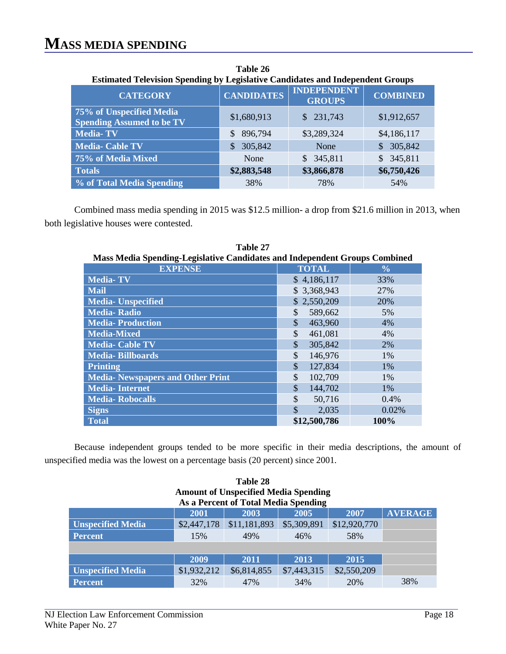both legislative houses were contested.

| <b>Estimated Television Spending by Legislative Candidates and Independent Groups</b> |                   |                                     |                         |  |  |  |  |  |  |
|---------------------------------------------------------------------------------------|-------------------|-------------------------------------|-------------------------|--|--|--|--|--|--|
| <b>CATEGORY</b>                                                                       | <b>CANDIDATES</b> | <b>INDEPENDENT</b><br><b>GROUPS</b> | <b>COMBINED</b>         |  |  |  |  |  |  |
| 75% of Unspecified Media<br><b>Spending Assumed to be TV</b>                          | \$1,680,913       | \$231,743                           | \$1,912,657             |  |  |  |  |  |  |
| <b>Media-TV</b>                                                                       | 896,794<br>\$     | \$3,289,324                         | \$4,186,117             |  |  |  |  |  |  |
| <b>Media- Cable TV</b>                                                                | 305,842<br>S      | None                                | 305,842                 |  |  |  |  |  |  |
| 75% of Media Mixed                                                                    | None              | 345,811<br>\$.                      | 345,811<br>$\mathbb{S}$ |  |  |  |  |  |  |
| <b>Totals</b>                                                                         | \$2,883,548       | \$3,866,878                         | \$6,750,426             |  |  |  |  |  |  |
| % of Total Media Spending                                                             | 38%               | 78%                                 | 54%                     |  |  |  |  |  |  |

**Table 26** 

Combined mass media spending in 2015 was \$12.5 million- a drop from \$21.6 million in 2013, when

| Mass Media Spending-Legislative Candidates and Independent Groups Combined |               |                |  |  |  |  |  |
|----------------------------------------------------------------------------|---------------|----------------|--|--|--|--|--|
| <b>EXPENSE</b>                                                             | <b>TOTAL</b>  | $\frac{6}{10}$ |  |  |  |  |  |
| <b>Media-TV</b>                                                            | \$4,186,117   | 33%            |  |  |  |  |  |
| <b>Mail</b>                                                                | \$3,368,943   | 27%            |  |  |  |  |  |
| <b>Media-Unspecified</b>                                                   | \$2,550,209   | 20%            |  |  |  |  |  |
| <b>Media-Radio</b>                                                         | \$<br>589,662 | 5%             |  |  |  |  |  |
| <b>Media-Production</b>                                                    | \$<br>463,960 | 4%             |  |  |  |  |  |
| <b>Media-Mixed</b>                                                         | \$<br>461,081 | 4%             |  |  |  |  |  |
| <b>Media- Cable TV</b>                                                     | \$<br>305,842 | 2%             |  |  |  |  |  |
| <b>Media-Billboards</b>                                                    | \$<br>146,976 | 1%             |  |  |  |  |  |
| <b>Printing</b>                                                            | \$<br>127,834 | 1%             |  |  |  |  |  |
| <b>Media- Newspapers and Other Print</b>                                   | \$<br>102,709 | 1%             |  |  |  |  |  |
| <b>Media-Internet</b>                                                      | \$<br>144,702 | 1%             |  |  |  |  |  |
| <b>Media-Robocalls</b>                                                     | \$<br>50,716  | 0.4%           |  |  |  |  |  |
| <b>Signs</b>                                                               | \$<br>2,035   | 0.02%          |  |  |  |  |  |
| <b>Total</b>                                                               | \$12,500,786  | 100%           |  |  |  |  |  |

**Table 27 Mass Media Spending-Legislative Candidates and Independent Groups Combined**

Because independent groups tended to be more specific in their media descriptions, the amount of unspecified media was the lowest on a percentage basis (20 percent) since 2001.

| Table 28                                       |             |                                      |             |              |     |  |  |  |
|------------------------------------------------|-------------|--------------------------------------|-------------|--------------|-----|--|--|--|
| <b>Amount of Unspecified Media Spending</b>    |             |                                      |             |              |     |  |  |  |
|                                                |             | As a Percent of Total Media Spending |             |              |     |  |  |  |
| <b>AVERAGE</b><br>2003<br>2005<br>2001<br>2007 |             |                                      |             |              |     |  |  |  |
| <b>Unspecified Media</b>                       | \$2,447,178 | \$11,181,893                         | \$5,309,891 | \$12,920,770 |     |  |  |  |
| <b>Percent</b>                                 | 15%         | 49%                                  | 46%         | 58%          |     |  |  |  |
|                                                |             |                                      |             |              |     |  |  |  |
|                                                | 2009        | 2011                                 | 2013        | 2015         |     |  |  |  |
| <b>Unspecified Media</b>                       | \$1,932,212 | \$6,814,855                          | \$7,443,315 | \$2,550,209  |     |  |  |  |
| <b>Percent</b>                                 | 32%         | 47%                                  | 34%         | 20%          | 38% |  |  |  |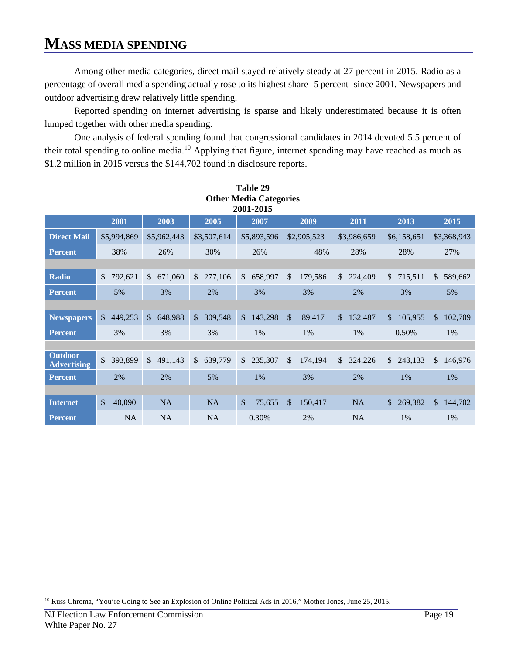Among other media categories, direct mail stayed relatively steady at 27 percent in 2015. Radio as a percentage of overall media spending actually rose to its highest share- 5 percent- since 2001. Newspapers and outdoor advertising drew relatively little spending.

Reported spending on internet advertising is sparse and likely underestimated because it is often lumped together with other media spending.

One analysis of federal spending found that congressional candidates in 2014 devoted 5.5 percent of their total spending to online media.[10](#page-22-0) Applying that figure, internet spending may have reached as much as \$1.2 million in 2015 versus the \$144,702 found in disclosure reports.

| <b>Other Media Categories</b><br>2001-2015                   |                         |                          |                         |                         |                          |                          |                          |                           |  |  |
|--------------------------------------------------------------|-------------------------|--------------------------|-------------------------|-------------------------|--------------------------|--------------------------|--------------------------|---------------------------|--|--|
| 2011<br>2001<br>2003<br>2005<br>2007<br>2009<br>2013<br>2015 |                         |                          |                         |                         |                          |                          |                          |                           |  |  |
| <b>Direct Mail</b>                                           | \$5,994,869             | \$5,962,443              | \$3,507,614             | \$5,893,596             | \$2,905,523              | \$3,986,659              | \$6,158,651              | \$3,368,943               |  |  |
| <b>Percent</b>                                               | 38%                     | 26%                      | 30%                     | 26%                     | 48%                      | 28%                      | 28%                      | 27%                       |  |  |
|                                                              |                         |                          |                         |                         |                          |                          |                          |                           |  |  |
| Radio                                                        | 792,621<br>\$           | 671,060<br>$\mathbb{S}$  | 277,106<br>\$           | $\mathbb{S}$<br>658,997 | $\mathcal{S}$<br>179,586 | 224,409<br><sup>\$</sup> | \$715,511                | $\mathbb{S}^-$<br>589,662 |  |  |
| <b>Percent</b>                                               | 5%                      | 3%                       | 2%                      | 3%                      | 3%                       | 2%                       | 3%                       | 5%                        |  |  |
|                                                              |                         |                          |                         |                         |                          |                          |                          |                           |  |  |
| <b>Newspapers</b>                                            | 449,253<br>\$           | 648,988<br>$\mathsf{\$}$ | 309,548<br>\$           | $\mathbb{S}$<br>143,298 | \$<br>89,417             | $\mathcal{S}$<br>132,487 | 105,955<br>$\mathcal{S}$ | 102,709<br>$\mathbb{S}$   |  |  |
| <b>Percent</b>                                               | 3%                      | 3%                       | 3%                      | 1%                      | 1%                       | 1%                       | 0.50%                    | 1%                        |  |  |
|                                                              |                         |                          |                         |                         |                          |                          |                          |                           |  |  |
| <b>Outdoor</b><br><b>Advertising</b>                         | 393,899<br>$\mathbb{S}$ | 491,143<br>$\mathbb{S}$  | 639,779<br>$\mathbb{S}$ | \$235,307               | \$<br>174,194            | 324,226<br>\$            | \$243,133                | \$146,976                 |  |  |
| <b>Percent</b>                                               | 2%                      | 2%                       | 5%                      | 1%                      | 3%                       | 2%                       | 1%                       | 1%                        |  |  |
|                                                              |                         |                          |                         |                         |                          |                          |                          |                           |  |  |
| <b>Internet</b>                                              | 40,090<br>\$            | <b>NA</b>                | <b>NA</b>               | \$<br>75,655            | \$<br>150,417            | <b>NA</b>                | 269,382<br>$\mathcal{S}$ | $\mathbb{S}$<br>144,702   |  |  |
| <b>Percent</b>                                               | <b>NA</b>               | <b>NA</b>                | <b>NA</b>               | 0.30%                   | 2%                       | <b>NA</b>                | 1%                       | 1%                        |  |  |

#### **Table 29 Other Media Categories**

<span id="page-22-0"></span> $\overline{a}$ <sup>10</sup> Russ Chroma, "You're Going to See an Explosion of Online Political Ads in 2016," Mother Jones, June 25, 2015.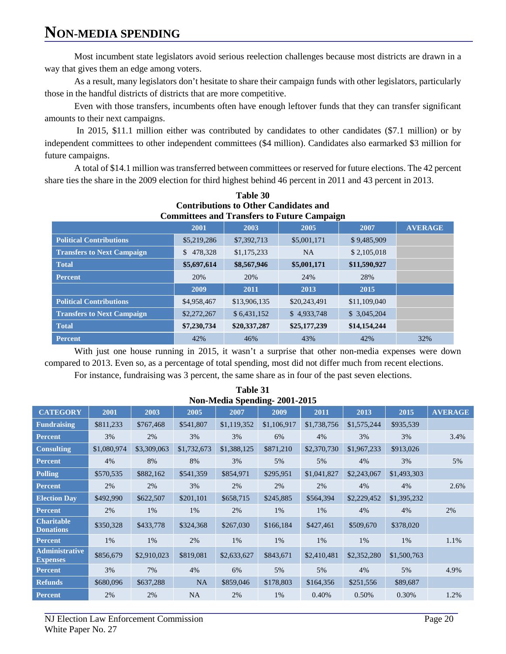# **NON-MEDIA SPENDING**

Most incumbent state legislators avoid serious reelection challenges because most districts are drawn in a way that gives them an edge among voters.

As a result, many legislators don't hesitate to share their campaign funds with other legislators, particularly those in the handful districts of districts that are more competitive.

Even with those transfers, incumbents often have enough leftover funds that they can transfer significant amounts to their next campaigns.

In 2015, \$11.1 million either was contributed by candidates to other candidates (\$7.1 million) or by independent committees to other independent committees (\$4 million). Candidates also earmarked \$3 million for future campaigns.

A total of \$14.1 million was transferred between committees or reserved for future elections. The 42 percent share ties the share in the 2009 election for third highest behind 46 percent in 2011 and 43 percent in 2013.

| Comentations to Other Candidates and               |                                                |              |              |              |     |  |  |  |  |
|----------------------------------------------------|------------------------------------------------|--------------|--------------|--------------|-----|--|--|--|--|
| <b>Committees and Transfers to Future Campaign</b> |                                                |              |              |              |     |  |  |  |  |
|                                                    | <b>AVERAGE</b><br>2001<br>2003<br>2005<br>2007 |              |              |              |     |  |  |  |  |
| <b>Political Contributions</b>                     | \$5,219,286                                    | \$7,392,713  | \$5,001,171  | \$9,485,909  |     |  |  |  |  |
| <b>Transfers to Next Campaign</b>                  | 478,328<br>$\mathbb{S}$                        | \$1,175,233  | <b>NA</b>    | \$2,105,018  |     |  |  |  |  |
| <b>Total</b>                                       | \$5,697,614                                    | \$8,567,946  | \$5,001,171  | \$11,590,927 |     |  |  |  |  |
| <b>Percent</b>                                     | 20%                                            | 20%          | 24%          | 28%          |     |  |  |  |  |
|                                                    | 2009                                           | 2011         | 2013         | 2015         |     |  |  |  |  |
| <b>Political Contributions</b>                     | \$4,958,467                                    | \$13,906,135 | \$20,243,491 | \$11,109,040 |     |  |  |  |  |
| <b>Transfers to Next Campaign</b>                  | \$2,272,267                                    | \$6,431,152  | \$4,933,748  | \$3,045,204  |     |  |  |  |  |
| <b>Total</b>                                       | \$7,230,734                                    | \$20,337,287 | \$25,177,239 | \$14,154,244 |     |  |  |  |  |
| <b>Percent</b>                                     | 42%                                            | 46%          | 43%          | 42%          | 32% |  |  |  |  |

# **Table 30 Contributions to Other Candidates and**

With just one house running in 2015, it wasn't a surprise that other non-media expenses were down compared to 2013. Even so, as a percentage of total spending, most did not differ much from recent elections. For instance, fundraising was 3 percent, the same share as in four of the past seven elections.

**Table 31** 

| Non-Media Spending-2001-2015             |             |             |             |             |             |             |             |             |                |  |  |  |
|------------------------------------------|-------------|-------------|-------------|-------------|-------------|-------------|-------------|-------------|----------------|--|--|--|
| <b>CATEGORY</b>                          | 2001        | 2003        | 2005        | 2007        | 2009        | 2011        | 2013        | 2015        | <b>AVERAGE</b> |  |  |  |
| <b>Fundraising</b>                       | \$811,233   | \$767,468   | \$541,807   | \$1,119,352 | \$1,106,917 | \$1,738,756 | \$1,575,244 | \$935,539   |                |  |  |  |
| <b>Percent</b>                           | 3%          | 2%          | 3%          | 3%          | 6%          | 4%          | 3%          | 3%          | 3.4%           |  |  |  |
| <b>Consulting</b>                        | \$1,080,974 | \$3,309,063 | \$1,732,673 | \$1,388,125 | \$871,210   | \$2,370,730 | \$1,967,233 | \$913,026   |                |  |  |  |
| <b>Percent</b>                           | 4%          | 8%          | 8%          | 3%          | 5%          | 5%          | 4%          | 3%          | 5%             |  |  |  |
| <b>Polling</b>                           | \$570,535   | \$882,162   | \$541,359   | \$854,971   | \$295,951   | \$1,041,827 | \$2,243,067 | \$1,493,303 |                |  |  |  |
| <b>Percent</b>                           | 2%          | 2%          | 3%          | 2%          | 2%          | 2%          | 4%          | 4%          | 2.6%           |  |  |  |
| <b>Election Day</b>                      | \$492,990   | \$622,507   | \$201,101   | \$658,715   | \$245,885   | \$564,394   | \$2,229,452 | \$1,395,232 |                |  |  |  |
| <b>Percent</b>                           | 2%          | 1%          | 1%          | 2%          | 1%          | 1%          | 4%          | 4%          | 2%             |  |  |  |
| <b>Charitable</b><br><b>Donations</b>    | \$350,328   | \$433,778   | \$324,368   | \$267,030   | \$166,184   | \$427,461   | \$509,670   | \$378,020   |                |  |  |  |
| <b>Percent</b>                           | 1%          | 1%          | 2%          | 1%          | 1%          | 1%          | 1%          | 1%          | 1.1%           |  |  |  |
| <b>Administrative</b><br><b>Expenses</b> | \$856,679   | \$2,910,023 | \$819,081   | \$2,633,627 | \$843,671   | \$2,410,481 | \$2,352,280 | \$1,500,763 |                |  |  |  |
| <b>Percent</b>                           | 3%          | 7%          | 4%          | 6%          | 5%          | 5%          | 4%          | 5%          | 4.9%           |  |  |  |
| <b>Refunds</b>                           | \$680,096   | \$637,288   | <b>NA</b>   | \$859,046   | \$178,803   | \$164,356   | \$251,556   | \$89,687    |                |  |  |  |
| <b>Percent</b>                           | 2%          | 2%          | <b>NA</b>   | 2%          | 1%          | 0.40%       | 0.50%       | 0.30%       | 1.2%           |  |  |  |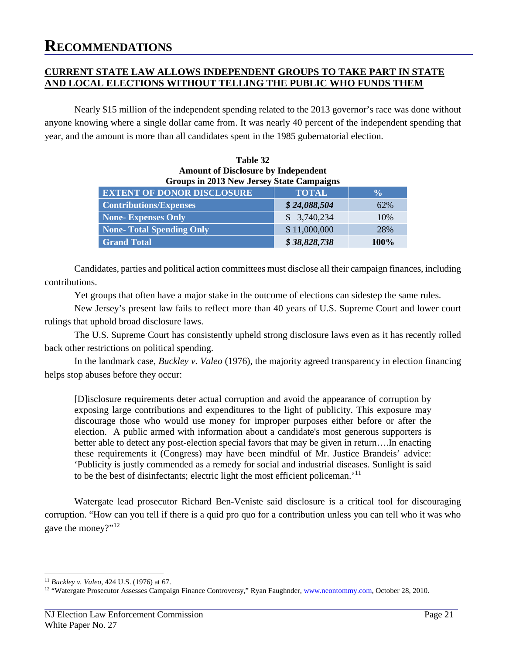#### **CURRENT STATE LAW ALLOWS INDEPENDENT GROUPS TO TAKE PART IN STATE AND LOCAL ELECTIONS WITHOUT TELLING THE PUBLIC WHO FUNDS THEM**

Nearly \$15 million of the independent spending related to the 2013 governor's race was done without anyone knowing where a single dollar came from. It was nearly 40 percent of the independent spending that year, and the amount is more than all candidates spent in the 1985 gubernatorial election.

**Table 32**

| <b>Amount of Disclosure by Independent</b><br><b>Groups in 2013 New Jersey State Campaigns</b> |              |               |
|------------------------------------------------------------------------------------------------|--------------|---------------|
| <b>EXTENT OF DONOR DISCLOSURE</b>                                                              | <b>TOTAL</b> | $\frac{0}{0}$ |
| <b>Contributions/Expenses</b>                                                                  | \$24,088,504 | 62%           |
| None-Expenses Only                                                                             | \$3,740,234  | 10%           |
| <b>None-Total Spending Only</b>                                                                | \$11,000,000 | 28%           |
| <b>Grand Total</b>                                                                             | \$38,828,738 | 100%          |

Candidates, parties and political action committees must disclose all their campaign finances, including contributions.

Yet groups that often have a major stake in the outcome of elections can sidestep the same rules.

New Jersey's present law fails to reflect more than 40 years of U.S. Supreme Court and lower court rulings that uphold broad disclosure laws.

The U.S. Supreme Court has consistently upheld strong disclosure laws even as it has recently rolled back other restrictions on political spending.

In the landmark case, *Buckley v. Valeo* (1976), the majority agreed transparency in election financing helps stop abuses before they occur:

[D]isclosure requirements deter actual corruption and avoid the appearance of corruption by exposing large contributions and expenditures to the light of publicity. This exposure may discourage those who would use money for improper purposes either before or after the election. A public armed with information about a candidate's most generous supporters is better able to detect any post-election special favors that may be given in return….In enacting these requirements it (Congress) may have been mindful of Mr. Justice Brandeis' advice: 'Publicity is justly commended as a remedy for social and industrial diseases. Sunlight is said to be the best of disinfectants; electric light the most efficient policeman.' [11](#page-24-0)

Watergate lead prosecutor Richard Ben-Veniste said disclosure is a critical tool for discouraging corruption. "How can you tell if there is a quid pro quo for a contribution unless you can tell who it was who gave the money?"[12](#page-24-1)

<span id="page-24-0"></span> <sup>11</sup> *Buckley v. Valeo*, 424 U.S. (1976) at 67.

<span id="page-24-1"></span><sup>&</sup>lt;sup>12</sup> "Watergate Prosecutor Assesses Campaign Finance Controversy," Ryan Faughnder[, www.neontommy.com,](http://www.neontommy.com/) October 28, 2010.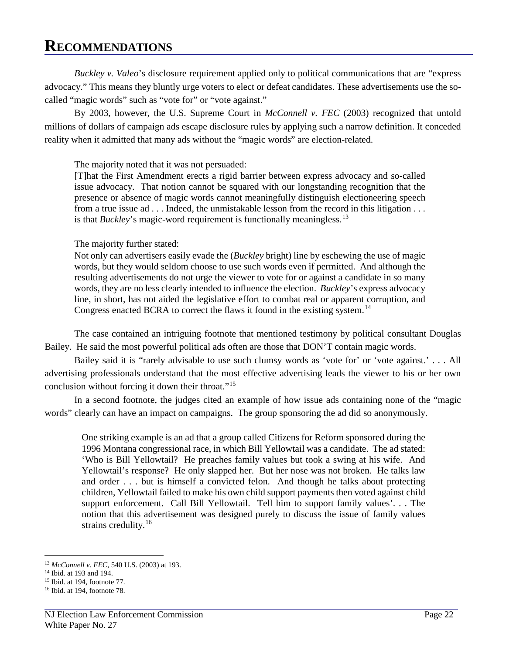*Buckley v. Valeo*'s disclosure requirement applied only to political communications that are "express advocacy." This means they bluntly urge voters to elect or defeat candidates. These advertisements use the socalled "magic words" such as "vote for" or "vote against."

By 2003, however, the U.S. Supreme Court in *McConnell v. FEC* (2003) recognized that untold millions of dollars of campaign ads escape disclosure rules by applying such a narrow definition. It conceded reality when it admitted that many ads without the "magic words" are election-related.

The majority noted that it was not persuaded:

[T]hat the First Amendment erects a rigid barrier between express advocacy and so-called issue advocacy. That notion cannot be squared with our longstanding recognition that the presence or absence of magic words cannot meaningfully distinguish electioneering speech from a true issue ad . . . Indeed, the unmistakable lesson from the record in this litigation . . . is that *Buckley*'s magic-word requirement is functionally meaningless.<sup>[13](#page-25-0)</sup>

The majority further stated:

Not only can advertisers easily evade the (*Buckley* bright) line by eschewing the use of magic words, but they would seldom choose to use such words even if permitted. And although the resulting advertisements do not urge the viewer to vote for or against a candidate in so many words, they are no less clearly intended to influence the election. *Buckley*'s express advocacy line, in short, has not aided the legislative effort to combat real or apparent corruption, and Congress enacted BCRA to correct the flaws it found in the existing system.<sup>[14](#page-25-1)</sup>

The case contained an intriguing footnote that mentioned testimony by political consultant Douglas Bailey. He said the most powerful political ads often are those that DON'T contain magic words.

Bailey said it is "rarely advisable to use such clumsy words as 'vote for' or 'vote against.' . . . All advertising professionals understand that the most effective advertising leads the viewer to his or her own conclusion without forcing it down their throat."[15](#page-25-2)

In a second footnote, the judges cited an example of how issue ads containing none of the "magic words" clearly can have an impact on campaigns. The group sponsoring the ad did so anonymously.

One striking example is an ad that a group called Citizens for Reform sponsored during the 1996 Montana congressional race, in which Bill Yellowtail was a candidate. The ad stated: 'Who is Bill Yellowtail? He preaches family values but took a swing at his wife. And Yellowtail's response? He only slapped her. But her nose was not broken. He talks law and order . . . but is himself a convicted felon. And though he talks about protecting children, Yellowtail failed to make his own child support payments then voted against child support enforcement. Call Bill Yellowtail. Tell him to support family values'. . . The notion that this advertisement was designed purely to discuss the issue of family values strains credulity.<sup>[16](#page-25-3)</sup>

<span id="page-25-0"></span><sup>13</sup> *McConnell v. FEC*, 540 U.S. (2003) at 193.

<span id="page-25-2"></span><span id="page-25-1"></span><sup>14</sup> Ibid. at 193 and 194.

<sup>15</sup> Ibid. at 194, footnote 77.

<span id="page-25-3"></span><sup>16</sup> Ibid. at 194, footnote 78.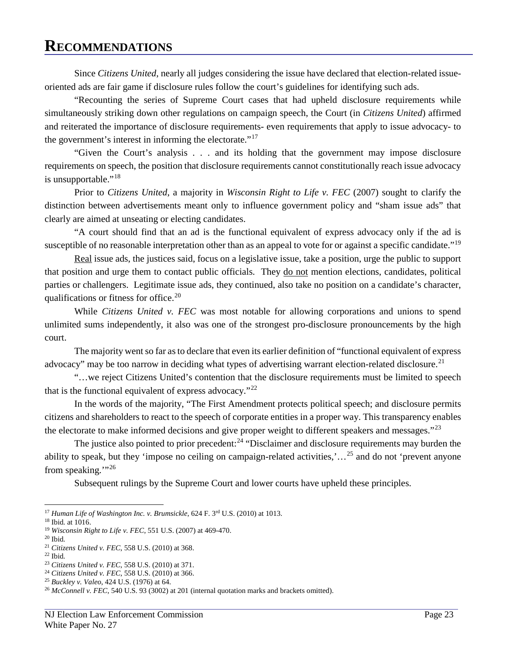Since *Citizens United*, nearly all judges considering the issue have declared that election-related issueoriented ads are fair game if disclosure rules follow the court's guidelines for identifying such ads.

"Recounting the series of Supreme Court cases that had upheld disclosure requirements while simultaneously striking down other regulations on campaign speech, the Court (in *Citizens United*) affirmed and reiterated the importance of disclosure requirements- even requirements that apply to issue advocacy- to the government's interest in informing the electorate."<sup>[17](#page-26-0)</sup>

"Given the Court's analysis . . . and its holding that the government may impose disclosure requirements on speech, the position that disclosure requirements cannot constitutionally reach issue advocacy is unsupportable."<sup>[18](#page-26-1)</sup>

Prior to *Citizens United*, a majority in *Wisconsin Right to Life v. FEC* (2007) sought to clarify the distinction between advertisements meant only to influence government policy and "sham issue ads" that clearly are aimed at unseating or electing candidates.

"A court should find that an ad is the functional equivalent of express advocacy only if the ad is susceptible of no reasonable interpretation other than as an appeal to vote for or against a specific candidate."<sup>[19](#page-26-2)</sup>

Real issue ads, the justices said, focus on a legislative issue, take a position, urge the public to support that position and urge them to contact public officials. They do not mention elections, candidates, political parties or challengers. Legitimate issue ads, they continued, also take no position on a candidate's character, qualifications or fitness for office. $20$ 

While *Citizens United v. FEC* was most notable for allowing corporations and unions to spend unlimited sums independently, it also was one of the strongest pro-disclosure pronouncements by the high court.

The majority went so far as to declare that even its earlier definition of "functional equivalent of express advocacy" may be too narrow in deciding what types of advertising warrant election-related disclosure.<sup>[21](#page-26-4)</sup>

"…we reject Citizens United's contention that the disclosure requirements must be limited to speech that is the functional equivalent of express advocacy."<sup>[22](#page-26-5)</sup>

In the words of the majority, "The First Amendment protects political speech; and disclosure permits citizens and shareholders to react to the speech of corporate entities in a proper way. This transparency enables the electorate to make informed decisions and give proper weight to different speakers and messages."<sup>[23](#page-26-6)</sup>

The justice also pointed to prior precedent:  $24$  "Disclaimer and disclosure requirements may burden the ability to speak, but they 'impose no ceiling on campaign-related activities,'…[25](#page-26-8) and do not 'prevent anyone from speaking."<sup>[26](#page-26-9)</sup>

Subsequent rulings by the Supreme Court and lower courts have upheld these principles.

 $\overline{a}$ <sup>17</sup> *Human Life of Washington Inc. v. Brumsickle*, 624 F. 3rd U.S. (2010) at 1013.

<span id="page-26-1"></span><span id="page-26-0"></span><sup>18</sup> Ibid. at 1016.

<span id="page-26-2"></span><sup>19</sup> *Wisconsin Right to Life v. FEC*, 551 U.S. (2007) at 469-470.

<span id="page-26-3"></span><sup>20</sup> Ibid.

<span id="page-26-4"></span><sup>21</sup> *Citizens United v. FEC*, 558 U.S. (2010) at 368.

<span id="page-26-5"></span> $22$  Ibid.

<span id="page-26-6"></span><sup>23</sup> *Citizens United v. FEC*, 558 U.S. (2010) at 371.

<span id="page-26-7"></span><sup>24</sup> *Citizens United v. FEC*, 558 U.S. (2010) at 366.

<span id="page-26-8"></span><sup>25</sup> *Buckley v. Valeo*, 424 U.S. (1976) at 64.

<span id="page-26-9"></span><sup>&</sup>lt;sup>26</sup> *McConnell v. FEC*, 540 U.S. 93 (3002) at 201 (internal quotation marks and brackets omitted).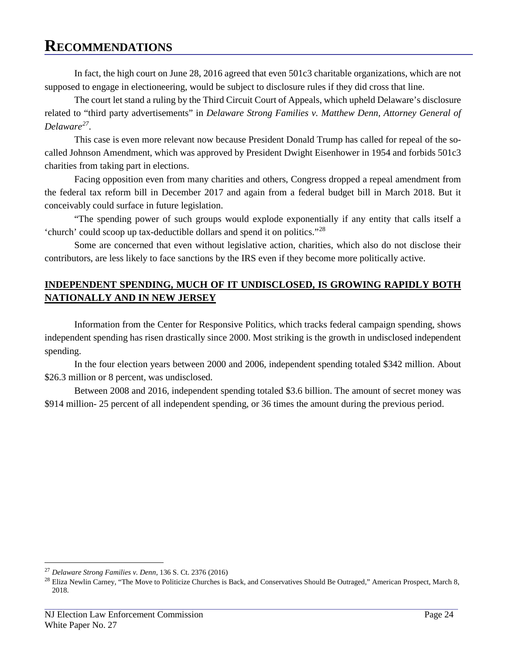In fact, the high court on June 28, 2016 agreed that even 501c3 charitable organizations, which are not supposed to engage in electioneering, would be subject to disclosure rules if they did cross that line.

The court let stand a ruling by the Third Circuit Court of Appeals, which upheld Delaware's disclosure related to "third party advertisements" in *Delaware Strong Families v. Matthew Denn, Attorney General of Delaware[27](#page-27-0)*.

This case is even more relevant now because President Donald Trump has called for repeal of the socalled Johnson Amendment, which was approved by President Dwight Eisenhower in 1954 and forbids 501c3 charities from taking part in elections.

Facing opposition even from many charities and others, Congress dropped a repeal amendment from the federal tax reform bill in December 2017 and again from a federal budget bill in March 2018. But it conceivably could surface in future legislation.

"The spending power of such groups would explode exponentially if any entity that calls itself a 'church' could scoop up tax-deductible dollars and spend it on politics."[28](#page-27-1)

Some are concerned that even without legislative action, charities, which also do not disclose their contributors, are less likely to face sanctions by the IRS even if they become more politically active.

#### **INDEPENDENT SPENDING, MUCH OF IT UNDISCLOSED, IS GROWING RAPIDLY BOTH NATIONALLY AND IN NEW JERSEY**

Information from the Center for Responsive Politics, which tracks federal campaign spending, shows independent spending has risen drastically since 2000. Most striking is the growth in undisclosed independent spending.

In the four election years between 2000 and 2006, independent spending totaled \$342 million. About \$26.3 million or 8 percent, was undisclosed.

Between 2008 and 2016, independent spending totaled \$3.6 billion. The amount of secret money was \$914 million- 25 percent of all independent spending, or 36 times the amount during the previous period.

<span id="page-27-0"></span><sup>27</sup> *Delaware Strong Families v. Denn*, 136 S. Ct. 2376 (2016)

<span id="page-27-1"></span> $^{28}$  Eliza Newlin Carney, "The Move to Politicize Churches is Back, and Conservatives Should Be Outraged," American Prospect, March 8, 2018.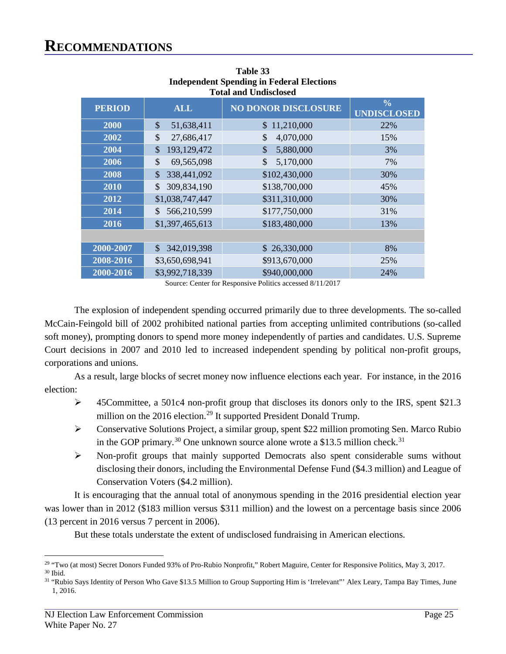| <b>PERIOD</b> | <b>ALL</b>                   | <b>NO DONOR DISCLOSURE</b> | $\frac{0}{0}$<br><b>UNDISCLOSED</b> |
|---------------|------------------------------|----------------------------|-------------------------------------|
| 2000          | \$<br>51,638,411             | \$11,210,000               | 22%                                 |
| 2002          | \$<br>27,686,417             | 4,070,000<br>\$            | 15%                                 |
| 2004          | 193,129,472<br>\$            | $\mathcal{S}$<br>5,880,000 | 3%                                  |
| 2006          | \$<br>69,565,098             | \$<br>5,170,000            | 7%                                  |
| 2008          | 338,441,092<br>\$            | \$102,430,000              | 30%                                 |
| 2010          | 309,834,190<br>\$.           | \$138,700,000              | 45%                                 |
| 2012          | \$1,038,747,447              | \$311,310,000              | 30%                                 |
| 2014          | 566,210,599<br>\$.           | \$177,750,000              | 31%                                 |
| 2016          | \$1,397,465,613              | \$183,480,000              | 13%                                 |
|               |                              |                            |                                     |
| 2000-2007     | 342,019,398<br>$\mathcal{S}$ | \$26,330,000               | 8%                                  |
| 2008-2016     | \$3,650,698,941              | \$913,670,000              | 25%                                 |
| 2000-2016     | \$3,992,718,339              | \$940,000,000              | 24%                                 |

**Table 33 Independent Spending in Federal Elections Total and Undisclosed**

Source: Center for Responsive Politics accessed 8/11/2017

The explosion of independent spending occurred primarily due to three developments. The so-called McCain-Feingold bill of 2002 prohibited national parties from accepting unlimited contributions (so-called soft money), prompting donors to spend more money independently of parties and candidates. U.S. Supreme Court decisions in 2007 and 2010 led to increased independent spending by political non-profit groups, corporations and unions.

As a result, large blocks of secret money now influence elections each year. For instance, in the 2016 election:

- 45Committee, a 501c4 non-profit group that discloses its donors only to the IRS, spent \$21.3 million on the 2016 election.<sup>29</sup> It supported President Donald Trump.
- Conservative Solutions Project, a similar group, spent \$22 million promoting Sen. Marco Rubio in the GOP primary.<sup>[30](#page-28-1)</sup> One unknown source alone wrote a \$13.5 million check.<sup>[31](#page-28-2)</sup>
- $\triangleright$  Non-profit groups that mainly supported Democrats also spent considerable sums without disclosing their donors, including the Environmental Defense Fund (\$4.3 million) and League of Conservation Voters (\$4.2 million).

It is encouraging that the annual total of anonymous spending in the 2016 presidential election year was lower than in 2012 (\$183 million versus \$311 million) and the lowest on a percentage basis since 2006 (13 percent in 2016 versus 7 percent in 2006).

But these totals understate the extent of undisclosed fundraising in American elections.

<span id="page-28-0"></span><sup>&</sup>lt;sup>29</sup> "Two (at most) Secret Donors Funded 93% of Pro-Rubio Nonprofit," Robert Maguire, Center for Responsive Politics, May 3, 2017.  $^{\rm 30}$  Ibid.

<span id="page-28-2"></span><span id="page-28-1"></span><sup>&</sup>lt;sup>31</sup> "Rubio Says Identity of Person Who Gave \$13.5 Million to Group Supporting Him is 'Irrelevant'" Alex Leary, Tampa Bay Times, June 1, 2016.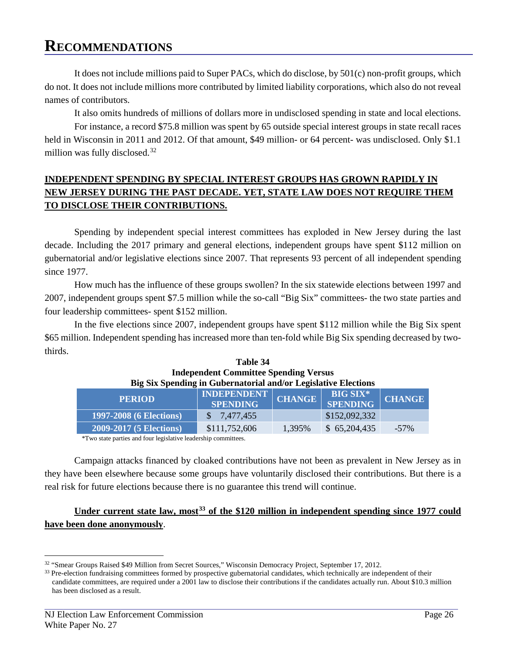It does not include millions paid to Super PACs, which do disclose, by 501(c) non-profit groups, which do not. It does not include millions more contributed by limited liability corporations, which also do not reveal names of contributors.

It also omits hundreds of millions of dollars more in undisclosed spending in state and local elections.

For instance, a record \$75.8 million was spent by 65 outside special interest groups in state recall races held in Wisconsin in 2011 and 2012. Of that amount, \$49 million- or 64 percent- was undisclosed. Only \$1.1 million was fully disclosed.<sup>[32](#page-29-0)</sup>

#### **INDEPENDENT SPENDING BY SPECIAL INTEREST GROUPS HAS GROWN RAPIDLY IN NEW JERSEY DURING THE PAST DECADE. YET, STATE LAW DOES NOT REQUIRE THEM TO DISCLOSE THEIR CONTRIBUTIONS.**

Spending by independent special interest committees has exploded in New Jersey during the last decade. Including the 2017 primary and general elections, independent groups have spent \$112 million on gubernatorial and/or legislative elections since 2007. That represents 93 percent of all independent spending since 1977.

How much has the influence of these groups swollen? In the six statewide elections between 1997 and 2007, independent groups spent \$7.5 million while the so-call "Big Six" committees- the two state parties and four leadership committees- spent \$152 million.

In the five elections since 2007, independent groups have spent \$112 million while the Big Six spent \$65 million. Independent spending has increased more than ten-fold while Big Six spending decreased by twothirds.

| <b>Table 34</b>                                                |  |                  |
|----------------------------------------------------------------|--|------------------|
| <b>Independent Committee Spending Versus</b>                   |  |                  |
| Big Six Spending in Gubernatorial and/or Legislative Elections |  |                  |
| <b>INDEDENDENT</b>                                             |  | <b>DIC CIV</b> * |

| <b>PERIOD</b>                  | <b>INDEPENDENT</b><br><b>SPENDING</b> | <b>CHANGE</b> | <b>BIG SIX*</b><br>SPENDING | <b>CHANGE</b> |
|--------------------------------|---------------------------------------|---------------|-----------------------------|---------------|
| <b>1997-2008 (6 Elections)</b> | \$ 7.477.455                          |               | \$152,092,332               |               |
| <b>2009-2017 (5 Elections)</b> | \$111,752,606                         | 1,395%        | \$65,204,435                | $-57\%$       |
|                                |                                       |               |                             |               |

\*Two state parties and four legislative leadership committees.

Campaign attacks financed by cloaked contributions have not been as prevalent in New Jersey as in they have been elsewhere because some groups have voluntarily disclosed their contributions. But there is a real risk for future elections because there is no guarantee this trend will continue.

#### **Under current state law, most[33](#page-29-1) of the \$120 million in independent spending since 1977 could have been done anonymously**.

<span id="page-29-0"></span><sup>32</sup> "Smear Groups Raised \$49 Million from Secret Sources," Wisconsin Democracy Project, September 17, 2012.

<span id="page-29-1"></span><sup>&</sup>lt;sup>33</sup> Pre-election fundraising committees formed by prospective gubernatorial candidates, which technically are independent of their candidate committees, are required under a 2001 law to disclose their contributions if the candidates actually run. About \$10.3 million has been disclosed as a result.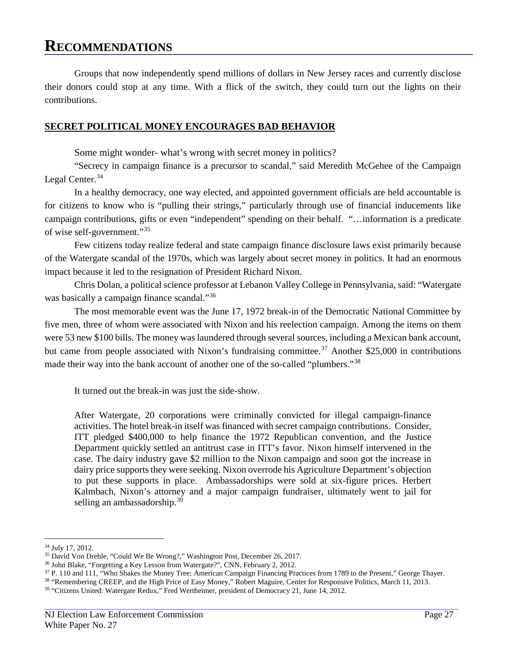Groups that now independently spend millions of dollars in New Jersey races and currently disclose their donors could stop at any time. With a flick of the switch, they could turn out the lights on their contributions.

#### **SECRET POLITICAL MONEY ENCOURAGES BAD BEHAVIOR**

Some might wonder- what's wrong with secret money in politics?

"Secrecy in campaign finance is a precursor to scandal," said Meredith McGehee of the Campaign Legal Center.<sup>[34](#page-30-0)</sup>

In a healthy democracy, one way elected, and appointed government officials are held accountable is for citizens to know who is "pulling their strings," particularly through use of financial inducements like campaign contributions, gifts or even "independent" spending on their behalf. "…information is a predicate of wise self-government."[35](#page-30-1)

Few citizens today realize federal and state campaign finance disclosure laws exist primarily because of the Watergate scandal of the 1970s, which was largely about secret money in politics. It had an enormous impact because it led to the resignation of President Richard Nixon.

Chris Dolan, a political science professor at Lebanon Valley College in Pennsylvania, said: "Watergate was basically a campaign finance scandal."<sup>[36](#page-30-2)</sup>

The most memorable event was the June 17, 1972 break-in of the Democratic National Committee by five men, three of whom were associated with Nixon and his reelection campaign. Among the items on them were 53 new \$100 bills. The money was laundered through several sources, including a Mexican bank account, but came from people associated with Nixon's fundraising committee.<sup>[37](#page-30-3)</sup> Another \$25,000 in contributions made their way into the bank account of another one of the so-called "plumbers."[38](#page-30-4)

It turned out the break-in was just the side-show.

After Watergate, 20 corporations were criminally convicted for illegal campaign-finance activities. The hotel break-in itself was financed with secret campaign contributions. Consider, ITT pledged \$400,000 to help finance the 1972 Republican convention, and the Justice Department quickly settled an antitrust case in ITT's favor. Nixon himself intervened in the case. The dairy industry gave \$2 million to the Nixon campaign and soon got the increase in dairy price supports they were seeking. Nixon overrode his Agriculture Department's objection to put these supports in place. Ambassadorships were sold at six-figure prices. Herbert Kalmbach, Nixon's attorney and a major campaign fundraiser, ultimately went to jail for selling an ambassadorship.<sup>[39](#page-30-5)</sup>

 $\overline{a}$ <sup>34</sup> July 17, 2012.

<span id="page-30-1"></span><span id="page-30-0"></span><sup>35</sup> David Von Drehle, "Could We Be Wrong?," Washington Post, December 26, 2017.

<span id="page-30-2"></span><sup>36</sup> John Blake, "Forgetting a Key Lesson from Watergate?", CNN, February 2, 2012.

<sup>37</sup> P. 110 and 111, "Who Shakes the Money Tree: American Campaign Financing Practices from 1789 to the Present," George Thayer.

<span id="page-30-5"></span><span id="page-30-4"></span><span id="page-30-3"></span><sup>38</sup> "Remembering CREEP, and the High Price of Easy Money," Robert Maguire, Center for Responsive Politics, March 11, 2013.

<sup>&</sup>lt;sup>39</sup> "Citizens United: Watergate Redux," Fred Wertheimer, president of Democracy 21, June 14, 2012.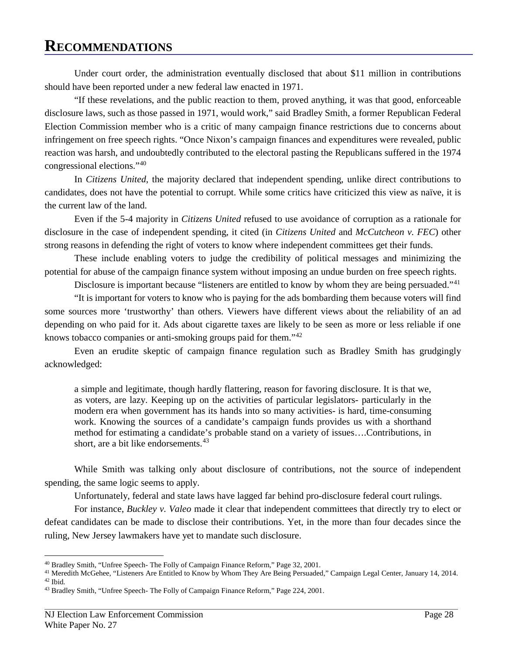Under court order, the administration eventually disclosed that about \$11 million in contributions should have been reported under a new federal law enacted in 1971.

"If these revelations, and the public reaction to them, proved anything, it was that good, enforceable disclosure laws, such as those passed in 1971, would work," said Bradley Smith, a former Republican Federal Election Commission member who is a critic of many campaign finance restrictions due to concerns about infringement on free speech rights. "Once Nixon's campaign finances and expenditures were revealed, public reaction was harsh, and undoubtedly contributed to the electoral pasting the Republicans suffered in the 1974 congressional elections."[40](#page-31-0)

In *Citizens United*, the majority declared that independent spending, unlike direct contributions to candidates, does not have the potential to corrupt. While some critics have criticized this view as naïve, it is the current law of the land.

Even if the 5-4 majority in *Citizens United* refused to use avoidance of corruption as a rationale for disclosure in the case of independent spending, it cited (in *Citizens United* and *McCutcheon v. FEC*) other strong reasons in defending the right of voters to know where independent committees get their funds.

These include enabling voters to judge the credibility of political messages and minimizing the potential for abuse of the campaign finance system without imposing an undue burden on free speech rights.

Disclosure is important because "listeners are entitled to know by whom they are being persuaded."<sup>[41](#page-31-1)</sup>

"It is important for voters to know who is paying for the ads bombarding them because voters will find some sources more 'trustworthy' than others. Viewers have different views about the reliability of an ad depending on who paid for it. Ads about cigarette taxes are likely to be seen as more or less reliable if one knows tobacco companies or anti-smoking groups paid for them."[42](#page-31-2)

Even an erudite skeptic of campaign finance regulation such as Bradley Smith has grudgingly acknowledged:

a simple and legitimate, though hardly flattering, reason for favoring disclosure. It is that we, as voters, are lazy. Keeping up on the activities of particular legislators- particularly in the modern era when government has its hands into so many activities- is hard, time-consuming work. Knowing the sources of a candidate's campaign funds provides us with a shorthand method for estimating a candidate's probable stand on a variety of issues….Contributions, in short, are a bit like endorsements.<sup>[43](#page-31-3)</sup>

While Smith was talking only about disclosure of contributions, not the source of independent spending, the same logic seems to apply.

Unfortunately, federal and state laws have lagged far behind pro-disclosure federal court rulings.

For instance, *Buckley v. Valeo* made it clear that independent committees that directly try to elect or defeat candidates can be made to disclose their contributions. Yet, in the more than four decades since the ruling, New Jersey lawmakers have yet to mandate such disclosure.

<span id="page-31-0"></span><sup>40</sup> Bradley Smith, "Unfree Speech- The Folly of Campaign Finance Reform," Page 32, 2001.

<span id="page-31-2"></span><span id="page-31-1"></span><sup>41</sup> Meredith McGehee, "Listeners Are Entitled to Know by Whom They Are Being Persuaded," Campaign Legal Center, January 14, 2014. 42 Ibid.

<span id="page-31-3"></span><sup>43</sup> Bradley Smith, "Unfree Speech- The Folly of Campaign Finance Reform," Page 224, 2001.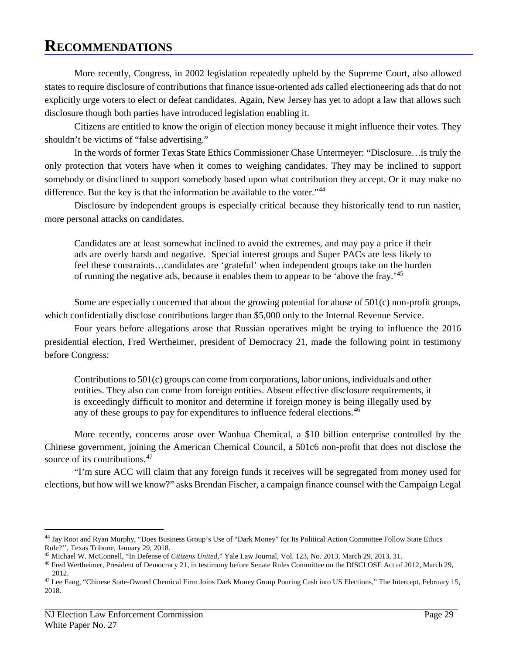More recently, Congress, in 2002 legislation repeatedly upheld by the Supreme Court, also allowed states to require disclosure of contributions that finance issue-oriented ads called electioneering ads that do not explicitly urge voters to elect or defeat candidates. Again, New Jersey has yet to adopt a law that allows such disclosure though both parties have introduced legislation enabling it.

Citizens are entitled to know the origin of election money because it might influence their votes. They shouldn't be victims of "false advertising."

In the words of former Texas State Ethics Commissioner Chase Untermeyer: "Disclosure…is truly the only protection that voters have when it comes to weighing candidates. They may be inclined to support somebody or disinclined to support somebody based upon what contribution they accept. Or it may make no difference. But the key is that the information be available to the voter."<sup>[44](#page-32-0)</sup>

Disclosure by independent groups is especially critical because they historically tend to run nastier, more personal attacks on candidates.

Candidates are at least somewhat inclined to avoid the extremes, and may pay a price if their ads are overly harsh and negative. Special interest groups and Super PACs are less likely to feel these constraints…candidates are 'grateful' when independent groups take on the burden of running the negative ads, because it enables them to appear to be 'above the fray.'<sup>[45](#page-32-1)</sup>

Some are especially concerned that about the growing potential for abuse of 501(c) non-profit groups, which confidentially disclose contributions larger than \$5,000 only to the Internal Revenue Service.

Four years before allegations arose that Russian operatives might be trying to influence the 2016 presidential election, Fred Wertheimer, president of Democracy 21, made the following point in testimony before Congress:

Contributions to 501(c) groups can come from corporations, labor unions, individuals and other entities. They also can come from foreign entities. Absent effective disclosure requirements, it is exceedingly difficult to monitor and determine if foreign money is being illegally used by any of these groups to pay for expenditures to influence federal elections.<sup>[46](#page-32-2)</sup>

More recently, concerns arose over Wanhua Chemical, a \$10 billion enterprise controlled by the Chinese government, joining the American Chemical Council, a 501c6 non-profit that does not disclose the source of its contributions.<sup>[47](#page-32-3)</sup>

"I'm sure ACC will claim that any foreign funds it receives will be segregated from money used for elections, but how will we know?" asks Brendan Fischer, a campaign finance counsel with the Campaign Legal

<span id="page-32-0"></span><sup>44</sup> Jay Root and Ryan Murphy, "Does Business Group's Use of "Dark Money" for Its Political Action Committee Follow State Ethics Rule?'', Texas Tribune, January 29, 2018.

<span id="page-32-1"></span><sup>45</sup> Michael W. McConnell, "In Defense of *Citizens United*," Yale Law Journal, Vol. 123, No. 2013, March 29, 2013, 31.

<span id="page-32-2"></span><sup>46</sup> Fred Wertheimer, President of Democracy 21, in testimony before Senate Rules Committee on the DISCLOSE Act of 2012, March 29, 2012.

<span id="page-32-3"></span><sup>47</sup> Lee Fang, "Chinese State-Owned Chemical Firm Joins Dark Money Group Pouring Cash into US Elections," The Intercept, February 15, 2018.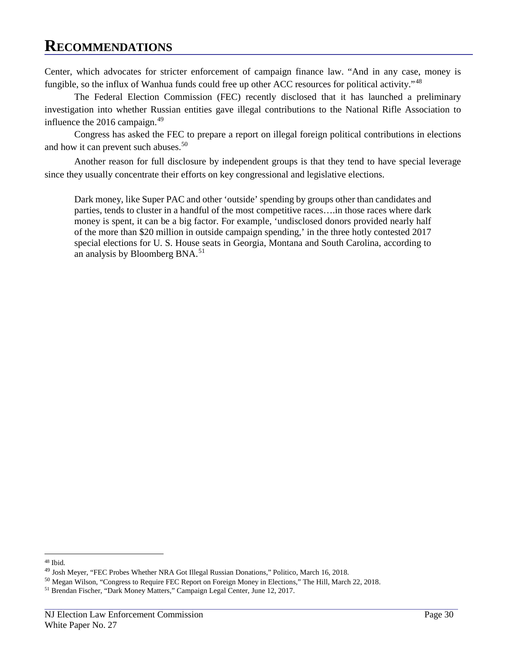Center, which advocates for stricter enforcement of campaign finance law. "And in any case, money is fungible, so the influx of Wanhua funds could free up other ACC resources for political activity."<sup>[48](#page-33-0)</sup>

The Federal Election Commission (FEC) recently disclosed that it has launched a preliminary investigation into whether Russian entities gave illegal contributions to the National Rifle Association to influence the  $2016$  campaign.<sup>[49](#page-33-1)</sup>

Congress has asked the FEC to prepare a report on illegal foreign political contributions in elections and how it can prevent such abuses.<sup>[50](#page-33-2)</sup>

Another reason for full disclosure by independent groups is that they tend to have special leverage since they usually concentrate their efforts on key congressional and legislative elections.

Dark money, like Super PAC and other 'outside' spending by groups other than candidates and parties, tends to cluster in a handful of the most competitive races….in those races where dark money is spent, it can be a big factor. For example, 'undisclosed donors provided nearly half of the more than \$20 million in outside campaign spending,' in the three hotly contested 2017 special elections for U. S. House seats in Georgia, Montana and South Carolina, according to an analysis by Bloomberg BNA.<sup>[51](#page-33-3)</sup>

<span id="page-33-0"></span> $\overline{a}$ <sup>48</sup> Ibid.

<span id="page-33-1"></span><sup>49</sup> Josh Meyer, "FEC Probes Whether NRA Got Illegal Russian Donations," Politico, March 16, 2018.

<span id="page-33-2"></span><sup>50</sup> Megan Wilson, "Congress to Require FEC Report on Foreign Money in Elections," The Hill, March 22, 2018.

<span id="page-33-3"></span><sup>51</sup> Brendan Fischer, "Dark Money Matters," Campaign Legal Center, June 12, 2017.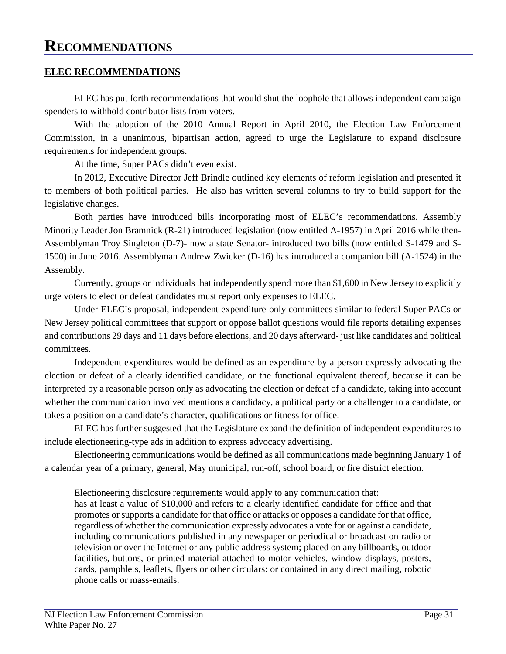#### **ELEC RECOMMENDATIONS**

ELEC has put forth recommendations that would shut the loophole that allows independent campaign spenders to withhold contributor lists from voters.

With the adoption of the 2010 Annual Report in April 2010, the Election Law Enforcement Commission, in a unanimous, bipartisan action, agreed to urge the Legislature to expand disclosure requirements for independent groups.

At the time, Super PACs didn't even exist.

In 2012, Executive Director Jeff Brindle outlined key elements of reform legislation and presented it to members of both political parties. He also has written several columns to try to build support for the legislative changes.

Both parties have introduced bills incorporating most of ELEC's recommendations. Assembly Minority Leader Jon Bramnick (R-21) introduced legislation (now entitled A-1957) in April 2016 while then-Assemblyman Troy Singleton (D-7)- now a state Senator- introduced two bills (now entitled S-1479 and S-1500) in June 2016. Assemblyman Andrew Zwicker (D-16) has introduced a companion bill (A-1524) in the Assembly.

Currently, groups or individuals that independently spend more than \$1,600 in New Jersey to explicitly urge voters to elect or defeat candidates must report only expenses to ELEC.

Under ELEC's proposal, independent expenditure-only committees similar to federal Super PACs or New Jersey political committees that support or oppose ballot questions would file reports detailing expenses and contributions 29 days and 11 days before elections, and 20 days afterward- just like candidates and political committees.

Independent expenditures would be defined as an expenditure by a person expressly advocating the election or defeat of a clearly identified candidate, or the functional equivalent thereof, because it can be interpreted by a reasonable person only as advocating the election or defeat of a candidate, taking into account whether the communication involved mentions a candidacy, a political party or a challenger to a candidate, or takes a position on a candidate's character, qualifications or fitness for office.

ELEC has further suggested that the Legislature expand the definition of independent expenditures to include electioneering-type ads in addition to express advocacy advertising.

Electioneering communications would be defined as all communications made beginning January 1 of a calendar year of a primary, general, May municipal, run-off, school board, or fire district election.

 Electioneering disclosure requirements would apply to any communication that: has at least a value of \$10,000 and refers to a clearly identified candidate for office and that promotes or supports a candidate for that office or attacks or opposes a candidate for that office, regardless of whether the communication expressly advocates a vote for or against a candidate, including communications published in any newspaper or periodical or broadcast on radio or television or over the Internet or any public address system; placed on any billboards, outdoor facilities, buttons, or printed material attached to motor vehicles, window displays, posters, cards, pamphlets, leaflets, flyers or other circulars: or contained in any direct mailing, robotic phone calls or mass-emails.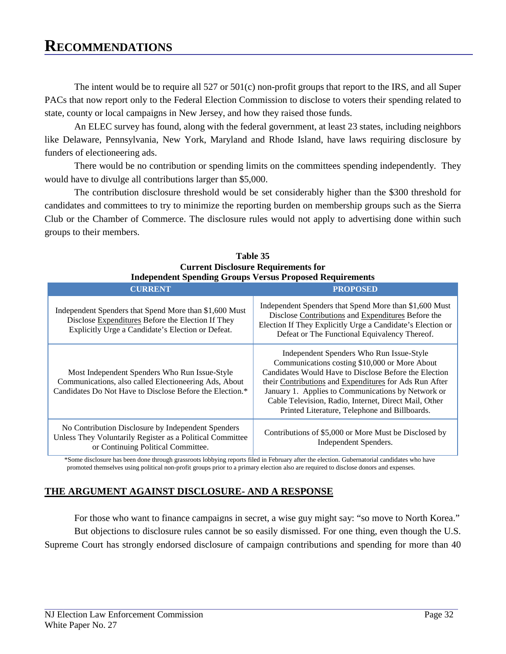The intent would be to require all 527 or 501(c) non-profit groups that report to the IRS, and all Super PACs that now report only to the Federal Election Commission to disclose to voters their spending related to state, county or local campaigns in New Jersey, and how they raised those funds.

An ELEC survey has found, along with the federal government, at least 23 states, including neighbors like Delaware, Pennsylvania, New York, Maryland and Rhode Island, have laws requiring disclosure by funders of electioneering ads.

There would be no contribution or spending limits on the committees spending independently. They would have to divulge all contributions larger than \$5,000.

The contribution disclosure threshold would be set considerably higher than the \$300 threshold for candidates and committees to try to minimize the reporting burden on membership groups such as the Sierra Club or the Chamber of Commerce. The disclosure rules would not apply to advertising done within such groups to their members.

| CURRENT                                                                                                                                                            | <b>PROPOSED</b>                                                                                                                                                                                                                                                                                                                                                              |
|--------------------------------------------------------------------------------------------------------------------------------------------------------------------|------------------------------------------------------------------------------------------------------------------------------------------------------------------------------------------------------------------------------------------------------------------------------------------------------------------------------------------------------------------------------|
| Independent Spenders that Spend More than \$1,600 Must<br>Disclose Expenditures Before the Election If They<br>Explicitly Urge a Candidate's Election or Defeat.   | Independent Spenders that Spend More than \$1,600 Must<br>Disclose Contributions and Expenditures Before the<br>Election If They Explicitly Urge a Candidate's Election or<br>Defeat or The Functional Equivalency Thereof.                                                                                                                                                  |
| Most Independent Spenders Who Run Issue-Style<br>Communications, also called Electioneering Ads, About<br>Candidates Do Not Have to Disclose Before the Election.* | Independent Spenders Who Run Issue-Style<br>Communications costing \$10,000 or More About<br>Candidates Would Have to Disclose Before the Election<br>their Contributions and Expenditures for Ads Run After<br>January 1. Applies to Communications by Network or<br>Cable Television, Radio, Internet, Direct Mail, Other<br>Printed Literature, Telephone and Billboards. |
| No Contribution Disclosure by Independent Spenders<br>Unless They Voluntarily Register as a Political Committee<br>or Continuing Political Committee.              | Contributions of \$5,000 or More Must be Disclosed by<br>Independent Spenders.                                                                                                                                                                                                                                                                                               |

#### **Table 35 Current Disclosure Requirements for Independent Spending Groups Versus Proposed Requirements**

\*Some disclosure has been done through grassroots lobbying reports filed in February after the election. Gubernatorial candidates who have promoted themselves using political non-profit groups prior to a primary election also are required to disclose donors and expenses.

#### **THE ARGUMENT AGAINST DISCLOSURE- AND A RESPONSE**

For those who want to finance campaigns in secret, a wise guy might say: "so move to North Korea." But objections to disclosure rules cannot be so easily dismissed. For one thing, even though the U.S. Supreme Court has strongly endorsed disclosure of campaign contributions and spending for more than 40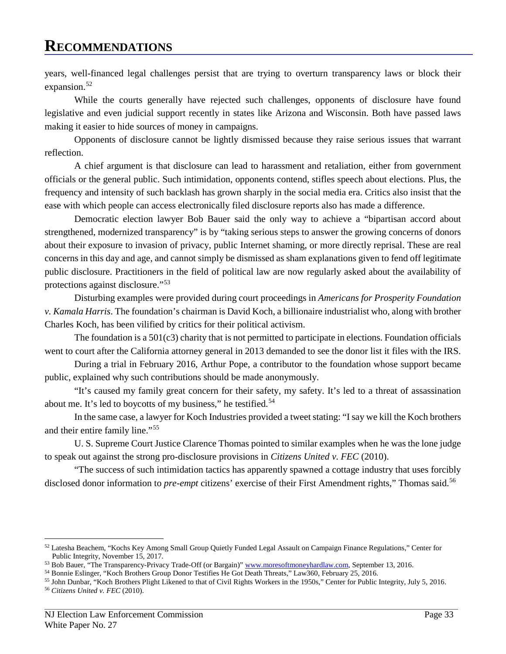years, well-financed legal challenges persist that are trying to overturn transparency laws or block their expansion.<sup>[52](#page-36-0)</sup>

While the courts generally have rejected such challenges, opponents of disclosure have found legislative and even judicial support recently in states like Arizona and Wisconsin. Both have passed laws making it easier to hide sources of money in campaigns.

Opponents of disclosure cannot be lightly dismissed because they raise serious issues that warrant reflection.

A chief argument is that disclosure can lead to harassment and retaliation, either from government officials or the general public. Such intimidation, opponents contend, stifles speech about elections. Plus, the frequency and intensity of such backlash has grown sharply in the social media era. Critics also insist that the ease with which people can access electronically filed disclosure reports also has made a difference.

Democratic election lawyer Bob Bauer said the only way to achieve a "bipartisan accord about strengthened, modernized transparency" is by "taking serious steps to answer the growing concerns of donors about their exposure to invasion of privacy, public Internet shaming, or more directly reprisal. These are real concerns in this day and age, and cannot simply be dismissed as sham explanations given to fend off legitimate public disclosure. Practitioners in the field of political law are now regularly asked about the availability of protections against disclosure."[53](#page-36-1)

Disturbing examples were provided during court proceedings in *Americans for Prosperity Foundation v. Kamala Harris*. The foundation's chairman is David Koch, a billionaire industrialist who, along with brother Charles Koch, has been vilified by critics for their political activism.

The foundation is a 501(c3) charity that is not permitted to participate in elections. Foundation officials went to court after the California attorney general in 2013 demanded to see the donor list it files with the IRS.

During a trial in February 2016, Arthur Pope, a contributor to the foundation whose support became public, explained why such contributions should be made anonymously.

"It's caused my family great concern for their safety, my safety. It's led to a threat of assassination about me. It's led to boycotts of my business," he testified.<sup>[54](#page-36-2)</sup>

In the same case, a lawyer for Koch Industries provided a tweet stating: "I say we kill the Koch brothers and their entire family line."[55](#page-36-3)

U. S. Supreme Court Justice Clarence Thomas pointed to similar examples when he was the lone judge to speak out against the strong pro-disclosure provisions in *Citizens United v. FEC* (2010).

"The success of such intimidation tactics has apparently spawned a cottage industry that uses forcibly disclosed donor information to *pre-empt* citizens' exercise of their First Amendment rights," Thomas said.<sup>56</sup>

<span id="page-36-0"></span><sup>52</sup> Latesha Beachem, "Kochs Key Among Small Group Quietly Funded Legal Assault on Campaign Finance Regulations," Center for Public Integrity, November 15, 2017.

<span id="page-36-1"></span><sup>53</sup> Bob Bauer, "The Transparency-Privacy Trade-Off (or Bargain)[" www.moresoftmoneyhardlaw.com,](http://www.moresoftmoneyhardlaw.com/) September 13, 2016.

<span id="page-36-2"></span><sup>54</sup> Bonnie Eslinger, "Koch Brothers Group Donor Testifies He Got Death Threats," Law360, February 25, 2016.

<span id="page-36-4"></span><span id="page-36-3"></span><sup>55</sup> John Dunbar, "Koch Brothers Plight Likened to that of Civil Rights Workers in the 1950s," Center for Public Integrity, July 5, 2016. <sup>56</sup> *Citizens United v. FEC* (2010).

NJ Election Law Enforcement Commission Page 33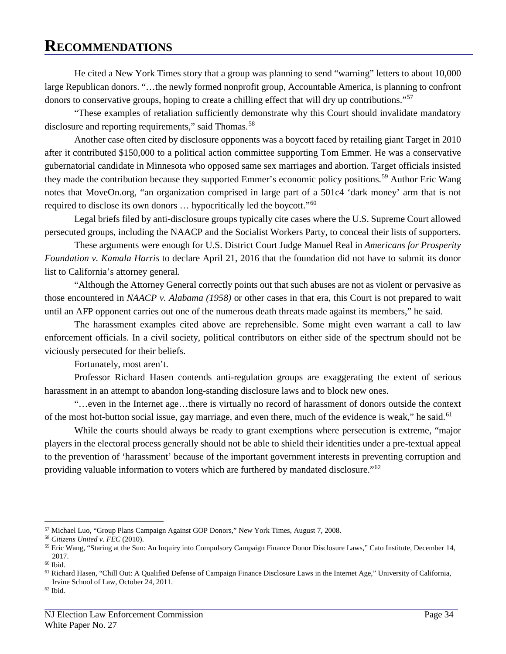He cited a New York Times story that a group was planning to send "warning" letters to about 10,000 large Republican donors. "…the newly formed nonprofit group, Accountable America, is planning to confront donors to conservative groups, hoping to create a chilling effect that will dry up contributions."<sup>[57](#page-37-0)</sup>

"These examples of retaliation sufficiently demonstrate why this Court should invalidate mandatory disclosure and reporting requirements," said Thomas.<sup>[58](#page-37-1)</sup>

Another case often cited by disclosure opponents was a boycott faced by retailing giant Target in 2010 after it contributed \$150,000 to a political action committee supporting Tom Emmer. He was a conservative gubernatorial candidate in Minnesota who opposed same sex marriages and abortion. Target officials insisted they made the contribution because they supported Emmer's economic policy positions.<sup>[59](#page-37-2)</sup> Author Eric Wang notes that MoveOn.org, "an organization comprised in large part of a 501c4 'dark money' arm that is not required to disclose its own donors … hypocritically led the boycott."[60](#page-37-3)

Legal briefs filed by anti-disclosure groups typically cite cases where the U.S. Supreme Court allowed persecuted groups, including the NAACP and the Socialist Workers Party, to conceal their lists of supporters.

These arguments were enough for U.S. District Court Judge Manuel Real in *Americans for Prosperity Foundation v. Kamala Harris* to declare April 21, 2016 that the foundation did not have to submit its donor list to California's attorney general.

"Although the Attorney General correctly points out that such abuses are not as violent or pervasive as those encountered in *NAACP v. Alabama (1958)* or other cases in that era, this Court is not prepared to wait until an AFP opponent carries out one of the numerous death threats made against its members," he said.

The harassment examples cited above are reprehensible. Some might even warrant a call to law enforcement officials. In a civil society, political contributors on either side of the spectrum should not be viciously persecuted for their beliefs.

Fortunately, most aren't.

Professor Richard Hasen contends anti-regulation groups are exaggerating the extent of serious harassment in an attempt to abandon long-standing disclosure laws and to block new ones.

"…even in the Internet age…there is virtually no record of harassment of donors outside the context of the most hot-button social issue, gay marriage, and even there, much of the evidence is weak," he said.<sup>[61](#page-37-4)</sup>

While the courts should always be ready to grant exemptions where persecution is extreme, "major players in the electoral process generally should not be able to shield their identities under a pre-textual appeal to the prevention of 'harassment' because of the important government interests in preventing corruption and providing valuable information to voters which are furthered by mandated disclosure."[62](#page-37-5)

<span id="page-37-5"></span> $62$  Ibid.

 $\overline{a}$ <sup>57</sup> Michael Luo, "Group Plans Campaign Against GOP Donors," New York Times, August 7, 2008.

<span id="page-37-1"></span><span id="page-37-0"></span><sup>58</sup> *Citizens United v. FEC* (2010).

<span id="page-37-2"></span><sup>59</sup> Eric Wang, "Staring at the Sun: An Inquiry into Compulsory Campaign Finance Donor Disclosure Laws," Cato Institute, December 14, 2017.

<span id="page-37-3"></span> $\,$   $^{60}$  Ibid.

<span id="page-37-4"></span><sup>61</sup> Richard Hasen, "Chill Out: A Qualified Defense of Campaign Finance Disclosure Laws in the Internet Age," University of California, Irvine School of Law, October 24, 2011.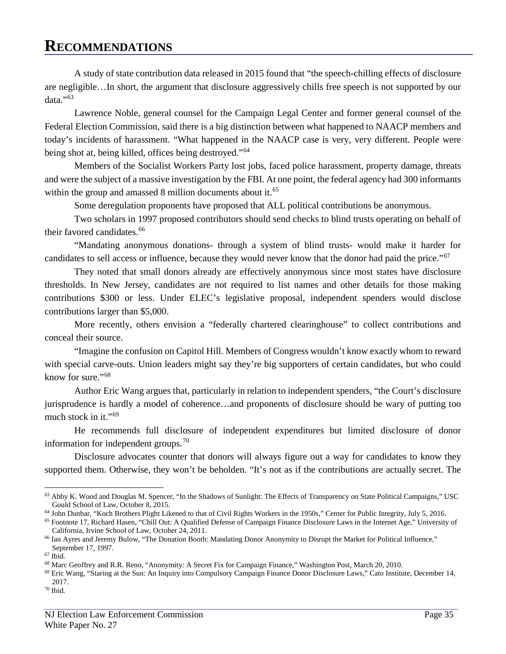A study of state contribution data released in 2015 found that "the speech-chilling effects of disclosure are negligible…In short, the argument that disclosure aggressively chills free speech is not supported by our data."[63](#page-38-0)

Lawrence Noble, general counsel for the Campaign Legal Center and former general counsel of the Federal Election Commission, said there is a big distinction between what happened to NAACP members and today's incidents of harassment. "What happened in the NAACP case is very, very different. People were being shot at, being killed, offices being destroyed."<sup>[64](#page-38-1)</sup>

Members of the Socialist Workers Party lost jobs, faced police harassment, property damage, threats and were the subject of a massive investigation by the FBI. At one point, the federal agency had 300 informants within the group and amassed 8 million documents about it.<sup>[65](#page-38-2)</sup>

Some deregulation proponents have proposed that ALL political contributions be anonymous.

Two scholars in 1997 proposed contributors should send checks to blind trusts operating on behalf of their favored candidates.<sup>66</sup>

"Mandating anonymous donations- through a system of blind trusts- would make it harder for candidates to sell access or influence, because they would never know that the donor had paid the price."<sup>[67](#page-38-4)</sup>

They noted that small donors already are effectively anonymous since most states have disclosure thresholds. In New Jersey, candidates are not required to list names and other details for those making contributions \$300 or less. Under ELEC's legislative proposal, independent spenders would disclose contributions larger than \$5,000.

More recently, others envision a "federally chartered clearinghouse" to collect contributions and conceal their source.

"Imagine the confusion on Capitol Hill. Members of Congress wouldn't know exactly whom to reward with special carve-outs. Union leaders might say they're big supporters of certain candidates, but who could know for sure."<sup>[68](#page-38-5)</sup>

Author Eric Wang argues that, particularly in relation to independent spenders, "the Court's disclosure jurisprudence is hardly a model of coherence…and proponents of disclosure should be wary of putting too much stock in it." $69$ 

He recommends full disclosure of independent expenditures but limited disclosure of donor information for independent groups. $70$ 

Disclosure advocates counter that donors will always figure out a way for candidates to know they supported them. Otherwise, they won't be beholden. "It's not as if the contributions are actually secret. The

<span id="page-38-0"></span><sup>63</sup> Abby K. Wood and Douglas M. Spencer, "In the Shadows of Sunlight: The Effects of Transparency on State Political Campaigns," USC Gould School of Law, October 8, 2015.

<span id="page-38-1"></span><sup>64</sup> John Dunbar, "Koch Brothers Plight Likened to that of Civil Rights Workers in the 1950s," Center for Public Integrity, July 5, 2016.

<span id="page-38-2"></span><sup>65</sup> Footnote 17, Richard Hasen, "Chill Out: A Qualified Defense of Campaign Finance Disclosure Laws in the Internet Age," University of California, Irvine School of Law, October 24, 2011.

<span id="page-38-3"></span><sup>66</sup> Ian Ayres and Jeremy Bulow, "The Donation Booth: Mandating Donor Anonymity to Disrupt the Market for Political Influence,"

<span id="page-38-4"></span>September 17, 1997. 67 Ibid.

<span id="page-38-5"></span><sup>68</sup> Marc Geoffrey and R.R. Reno, "Anonymity: A Secret Fix for Campaign Finance," Washington Post, March 20, 2010.

<span id="page-38-6"></span><sup>69</sup> Eric Wang, "Staring at the Sun: An Inquiry into Compulsory Campaign Finance Donor Disclosure Laws," Cato Institute, December 14, 2017.

<span id="page-38-7"></span> $^{\rm 70}$  Ibid.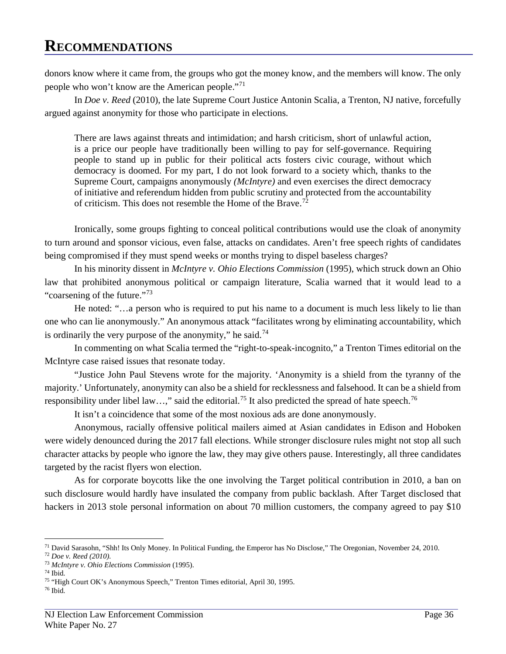donors know where it came from, the groups who got the money know, and the members will know. The only people who won't know are the American people."[71](#page-39-0)

In *Doe v. Reed* (2010), the late Supreme Court Justice Antonin Scalia, a Trenton, NJ native, forcefully argued against anonymity for those who participate in elections.

There are laws against threats and intimidation; and harsh criticism, short of unlawful action, is a price our people have traditionally been willing to pay for self-governance. Requiring people to stand up in public for their political acts fosters civic courage, without which democracy is doomed. For my part, I do not look forward to a society which, thanks to the Supreme Court, campaigns anonymously *(McIntyre)* and even exercises the direct democracy of initiative and referendum hidden from public scrutiny and protected from the accountability of criticism. This does not resemble the Home of the Brave.<sup>[72](#page-39-1)</sup>

Ironically, some groups fighting to conceal political contributions would use the cloak of anonymity to turn around and sponsor vicious, even false, attacks on candidates. Aren't free speech rights of candidates being compromised if they must spend weeks or months trying to dispel baseless charges?

In his minority dissent in *McIntyre v. Ohio Elections Commission* (1995), which struck down an Ohio law that prohibited anonymous political or campaign literature, Scalia warned that it would lead to a "coarsening of the future."<sup>[73](#page-39-2)</sup>

He noted: "…a person who is required to put his name to a document is much less likely to lie than one who can lie anonymously." An anonymous attack "facilitates wrong by eliminating accountability, which is ordinarily the very purpose of the anonymity," he said.<sup>[74](#page-39-3)</sup>

In commenting on what Scalia termed the "right-to-speak-incognito," a Trenton Times editorial on the McIntyre case raised issues that resonate today.

"Justice John Paul Stevens wrote for the majority. 'Anonymity is a shield from the tyranny of the majority.' Unfortunately, anonymity can also be a shield for recklessness and falsehood. It can be a shield from responsibility under libel law...," said the editorial.<sup>75</sup> It also predicted the spread of hate speech.<sup>76</sup>

It isn't a coincidence that some of the most noxious ads are done anonymously.

Anonymous, racially offensive political mailers aimed at Asian candidates in Edison and Hoboken were widely denounced during the 2017 fall elections. While stronger disclosure rules might not stop all such character attacks by people who ignore the law, they may give others pause. Interestingly, all three candidates targeted by the racist flyers won election.

As for corporate boycotts like the one involving the Target political contribution in 2010, a ban on such disclosure would hardly have insulated the company from public backlash. After Target disclosed that hackers in 2013 stole personal information on about 70 million customers, the company agreed to pay \$10

 $\overline{a}$  $71$  David Sarasohn, "Shh! Its Only Money. In Political Funding, the Emperor has No Disclose," The Oregonian, November 24, 2010.

<span id="page-39-1"></span><span id="page-39-0"></span><sup>72</sup> *Doe v. Reed (2010).*

<span id="page-39-2"></span><sup>73</sup> *McIntyre v. Ohio Elections Commission* (1995).

<span id="page-39-4"></span><span id="page-39-3"></span><sup>74</sup> Ibid.

<sup>75</sup> "High Court OK's Anonymous Speech," Trenton Times editorial, April 30, 1995.

<span id="page-39-5"></span> $^{\rm 76}$  Ibid.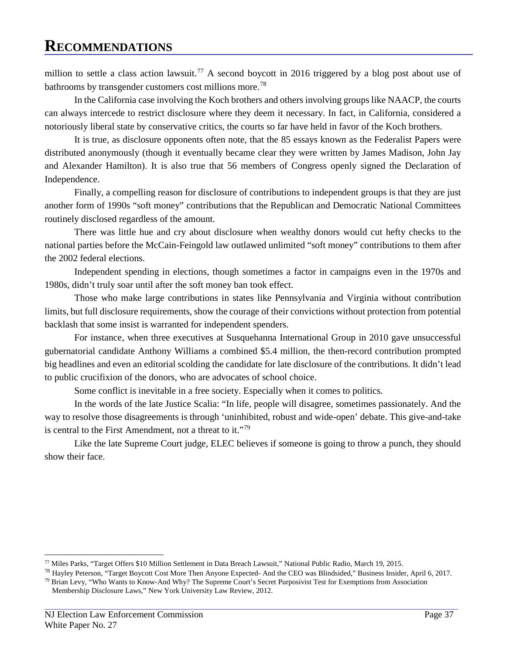million to settle a class action lawsuit.<sup>[77](#page-40-0)</sup> A second boycott in 2016 triggered by a blog post about use of bathrooms by transgender customers cost millions more.<sup>[78](#page-40-1)</sup>

In the California case involving the Koch brothers and others involving groups like NAACP, the courts can always intercede to restrict disclosure where they deem it necessary. In fact, in California, considered a notoriously liberal state by conservative critics, the courts so far have held in favor of the Koch brothers.

It is true, as disclosure opponents often note, that the 85 essays known as the Federalist Papers were distributed anonymously (though it eventually became clear they were written by James Madison, John Jay and Alexander Hamilton). It is also true that 56 members of Congress openly signed the Declaration of Independence.

Finally, a compelling reason for disclosure of contributions to independent groups is that they are just another form of 1990s "soft money" contributions that the Republican and Democratic National Committees routinely disclosed regardless of the amount.

There was little hue and cry about disclosure when wealthy donors would cut hefty checks to the national parties before the McCain-Feingold law outlawed unlimited "soft money" contributions to them after the 2002 federal elections.

Independent spending in elections, though sometimes a factor in campaigns even in the 1970s and 1980s, didn't truly soar until after the soft money ban took effect.

Those who make large contributions in states like Pennsylvania and Virginia without contribution limits, but full disclosure requirements, show the courage of their convictions without protection from potential backlash that some insist is warranted for independent spenders.

For instance, when three executives at Susquehanna International Group in 2010 gave unsuccessful gubernatorial candidate Anthony Williams a combined \$5.4 million, the then-record contribution prompted big headlines and even an editorial scolding the candidate for late disclosure of the contributions. It didn't lead to public crucifixion of the donors, who are advocates of school choice.

Some conflict is inevitable in a free society. Especially when it comes to politics.

In the words of the late Justice Scalia: "In life, people will disagree, sometimes passionately. And the way to resolve those disagreements is through 'uninhibited, robust and wide-open' debate. This give-and-take is central to the First Amendment, not a threat to it."[79](#page-40-2)

Like the late Supreme Court judge, ELEC believes if someone is going to throw a punch, they should show their face.

<span id="page-40-0"></span><sup>77</sup> Miles Parks, "Target Offers \$10 Million Settlement in Data Breach Lawsuit," National Public Radio, March 19, 2015.

<span id="page-40-1"></span><sup>78</sup> Hayley Peterson, "Target Boycott Cost More Then Anyone Expected- And the CEO was Blindsided," Business Insider, April 6, 2017.

<span id="page-40-2"></span> $79$  Brian Levy, "Who Wants to Know-And Why? The Supreme Court's Secret Purposivist Test for Exemptions from Association Membership Disclosure Laws," New York University Law Review, 2012.